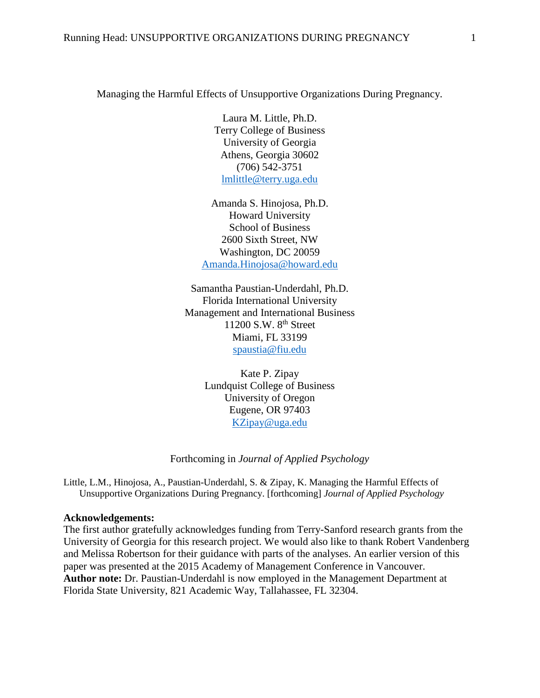Managing the Harmful Effects of Unsupportive Organizations During Pregnancy.

Laura M. Little, Ph.D. Terry College of Business University of Georgia Athens, Georgia 30602 (706) 542-3751 [lmlittle@terry.uga.edu](mailto:lmlittle@terry.uga.edu)

Amanda S. Hinojosa, Ph.D. Howard University School of Business 2600 Sixth Street, NW Washington, DC 20059 [Amanda.Hinojosa@howard.edu](mailto:Amanda.Hinojosa@howard.edu)

Samantha Paustian-Underdahl, Ph.D. Florida International University Management and International Business 11200 S.W. 8<sup>th</sup> Street Miami, FL 33199 [spaustia@fiu.edu](mailto:spaustia@fiu.edu)

> Kate P. Zipay Lundquist College of Business University of Oregon Eugene, OR 97403 [KZipay@uga.edu](mailto:KZipay@uga.edu)

Forthcoming in *Journal of Applied Psychology*

Little, L.M., Hinojosa, A., Paustian-Underdahl, S. & Zipay, K. Managing the Harmful Effects of Unsupportive Organizations During Pregnancy. [forthcoming] *Journal of Applied Psychology*

#### **Acknowledgements:**

The first author gratefully acknowledges funding from Terry-Sanford research grants from the University of Georgia for this research project. We would also like to thank Robert Vandenberg and Melissa Robertson for their guidance with parts of the analyses. An earlier version of this paper was presented at the 2015 Academy of Management Conference in Vancouver. **Author note:** Dr. Paustian-Underdahl is now employed in the Management Department at Florida State University, 821 Academic Way, Tallahassee, FL 32304.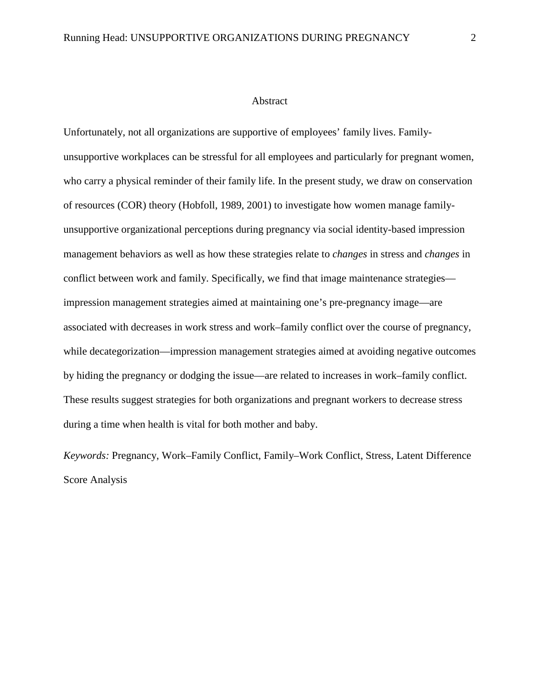#### Abstract

Unfortunately, not all organizations are supportive of employees' family lives. Familyunsupportive workplaces can be stressful for all employees and particularly for pregnant women, who carry a physical reminder of their family life. In the present study, we draw on conservation of resources (COR) theory (Hobfoll, 1989, 2001) to investigate how women manage familyunsupportive organizational perceptions during pregnancy via social identity-based impression management behaviors as well as how these strategies relate to *changes* in stress and *changes* in conflict between work and family. Specifically, we find that image maintenance strategies impression management strategies aimed at maintaining one's pre-pregnancy image—are associated with decreases in work stress and work–family conflict over the course of pregnancy, while decategorization—impression management strategies aimed at avoiding negative outcomes by hiding the pregnancy or dodging the issue—are related to increases in work–family conflict. These results suggest strategies for both organizations and pregnant workers to decrease stress during a time when health is vital for both mother and baby.

*Keywords:* Pregnancy, Work–Family Conflict, Family–Work Conflict, Stress, Latent Difference Score Analysis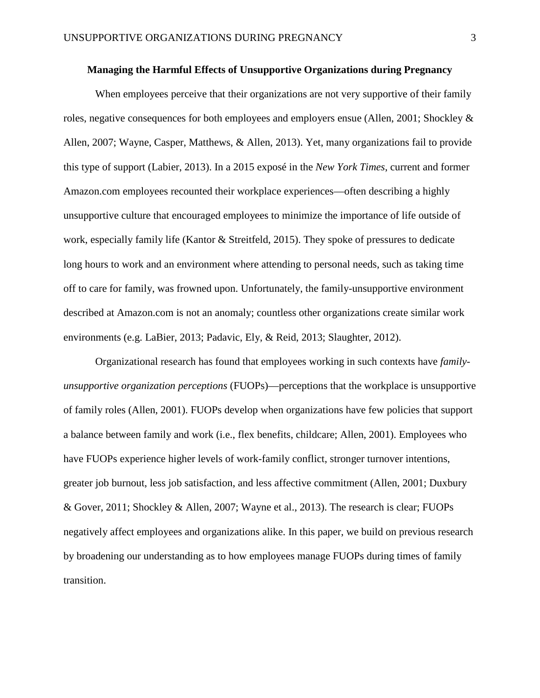# **Managing the Harmful Effects of Unsupportive Organizations during Pregnancy**

When employees perceive that their organizations are not very supportive of their family roles, negative consequences for both employees and employers ensue (Allen, 2001; Shockley & Allen, 2007; Wayne, Casper, Matthews, & Allen, 2013). Yet, many organizations fail to provide this type of support (Labier, 2013). In a 2015 exposé in the *New York Times*, current and former Amazon.com employees recounted their workplace experiences—often describing a highly unsupportive culture that encouraged employees to minimize the importance of life outside of work, especially family life (Kantor & Streitfeld, 2015). They spoke of pressures to dedicate long hours to work and an environment where attending to personal needs, such as taking time off to care for family, was frowned upon. Unfortunately, the family-unsupportive environment described at Amazon.com is not an anomaly; countless other organizations create similar work environments (e.g. LaBier, 2013; Padavic, Ely, & Reid, 2013; Slaughter, 2012).

Organizational research has found that employees working in such contexts have *familyunsupportive organization perceptions* (FUOPs)—perceptions that the workplace is unsupportive of family roles (Allen, 2001). FUOPs develop when organizations have few policies that support a balance between family and work (i.e., flex benefits, childcare; Allen, 2001). Employees who have FUOPs experience higher levels of work-family conflict, stronger turnover intentions, greater job burnout, less job satisfaction, and less affective commitment (Allen, 2001; Duxbury & Gover, 2011; Shockley & Allen, 2007; Wayne et al., 2013). The research is clear; FUOPs negatively affect employees and organizations alike. In this paper, we build on previous research by broadening our understanding as to how employees manage FUOPs during times of family transition.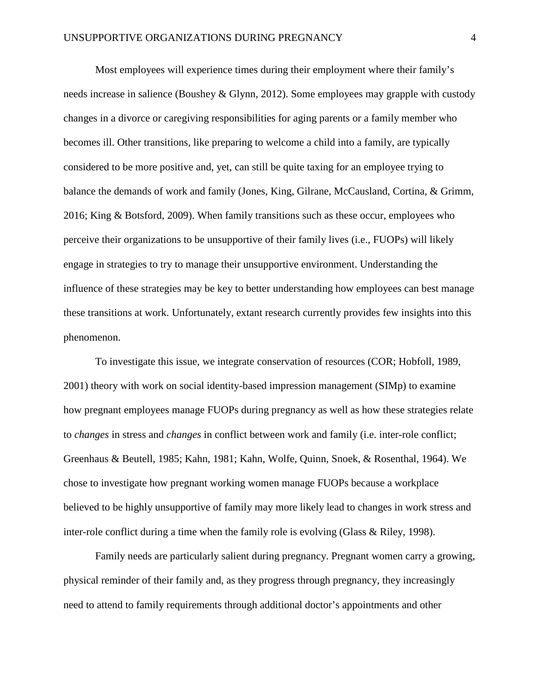Most employees will experience times during their employment where their family's needs increase in salience (Boushey & Glynn, 2012). Some employees may grapple with custody changes in a divorce or caregiving responsibilities for aging parents or a family member who becomes ill. Other transitions, like preparing to welcome a child into a family, are typically considered to be more positive and, yet, can still be quite taxing for an employee trying to balance the demands of work and family (Jones, King, Gilrane, McCausland, Cortina, & Grimm, 2016; King & Botsford, 2009). When family transitions such as these occur, employees who perceive their organizations to be unsupportive of their family lives (i.e., FUOPs) will likely engage in strategies to try to manage their unsupportive environment. Understanding the influence of these strategies may be key to better understanding how employees can best manage these transitions at work. Unfortunately, extant research currently provides few insights into this phenomenon.

To investigate this issue, we integrate conservation of resources (COR; Hobfoll, 1989, 2001) theory with work on social identity-based impression management (SIMp) to examine how pregnant employees manage FUOPs during pregnancy as well as how these strategies relate to *changes* in stress and *changes* in conflict between work and family (i.e. inter-role conflict; Greenhaus & Beutell, 1985; Kahn, 1981; Kahn, Wolfe, Quinn, Snoek, & Rosenthal, 1964). We chose to investigate how pregnant working women manage FUOPs because a workplace believed to be highly unsupportive of family may more likely lead to changes in work stress and inter-role conflict during a time when the family role is evolving (Glass & Riley, 1998).

Family needs are particularly salient during pregnancy. Pregnant women carry a growing, physical reminder of their family and, as they progress through pregnancy, they increasingly need to attend to family requirements through additional doctor's appointments and other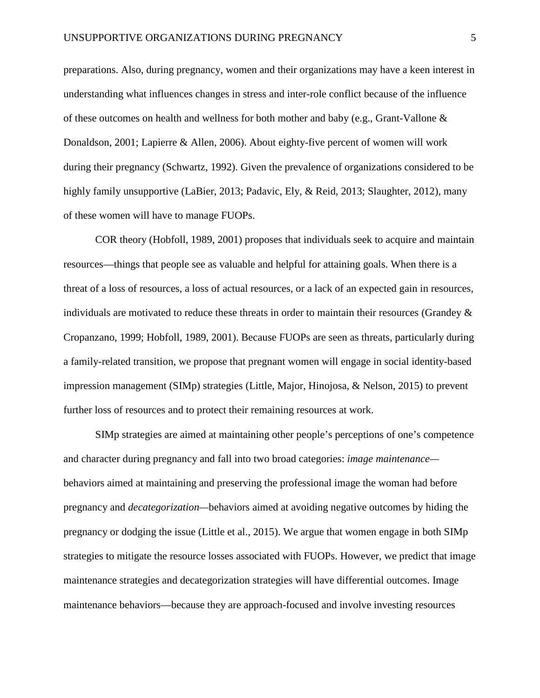preparations. Also, during pregnancy, women and their organizations may have a keen interest in understanding what influences changes in stress and inter-role conflict because of the influence of these outcomes on health and wellness for both mother and baby (e.g., Grant-Vallone  $\&$ Donaldson, 2001; Lapierre & Allen, 2006). About eighty-five percent of women will work during their pregnancy (Schwartz, 1992). Given the prevalence of organizations considered to be highly family unsupportive (LaBier, 2013; Padavic, Ely, & Reid, 2013; Slaughter, 2012), many of these women will have to manage FUOPs.

COR theory (Hobfoll, 1989, 2001) proposes that individuals seek to acquire and maintain resources—things that people see as valuable and helpful for attaining goals. When there is a threat of a loss of resources, a loss of actual resources, or a lack of an expected gain in resources, individuals are motivated to reduce these threats in order to maintain their resources (Grandey  $\&$ Cropanzano, 1999; Hobfoll, 1989, 2001). Because FUOPs are seen as threats, particularly during a family-related transition, we propose that pregnant women will engage in social identity-based impression management (SIMp) strategies (Little, Major, Hinojosa, & Nelson, 2015) to prevent further loss of resources and to protect their remaining resources at work.

SIMp strategies are aimed at maintaining other people's perceptions of one's competence and character during pregnancy and fall into two broad categories: *image maintenance* behaviors aimed at maintaining and preserving the professional image the woman had before pregnancy and *decategorization—*behaviors aimed at avoiding negative outcomes by hiding the pregnancy or dodging the issue (Little et al., 2015). We argue that women engage in both SIMp strategies to mitigate the resource losses associated with FUOPs. However, we predict that image maintenance strategies and decategorization strategies will have differential outcomes. Image maintenance behaviors—because they are approach-focused and involve investing resources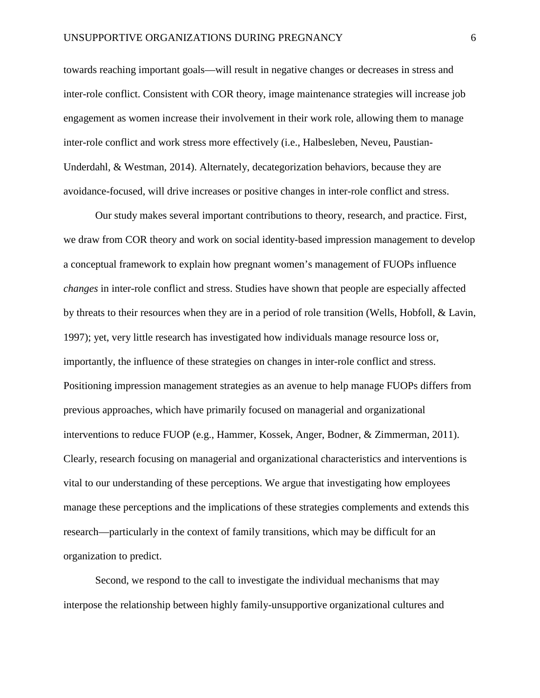towards reaching important goals—will result in negative changes or decreases in stress and inter-role conflict. Consistent with COR theory, image maintenance strategies will increase job engagement as women increase their involvement in their work role, allowing them to manage inter-role conflict and work stress more effectively (i.e., Halbesleben, Neveu, Paustian-Underdahl, & Westman, 2014). Alternately, decategorization behaviors, because they are avoidance-focused, will drive increases or positive changes in inter-role conflict and stress.

Our study makes several important contributions to theory, research, and practice. First, we draw from COR theory and work on social identity-based impression management to develop a conceptual framework to explain how pregnant women's management of FUOPs influence *changes* in inter-role conflict and stress. Studies have shown that people are especially affected by threats to their resources when they are in a period of role transition (Wells, Hobfoll, & Lavin, 1997); yet, very little research has investigated how individuals manage resource loss or, importantly, the influence of these strategies on changes in inter-role conflict and stress. Positioning impression management strategies as an avenue to help manage FUOPs differs from previous approaches, which have primarily focused on managerial and organizational interventions to reduce FUOP (e.g., Hammer, Kossek, Anger, Bodner, & Zimmerman, 2011). Clearly, research focusing on managerial and organizational characteristics and interventions is vital to our understanding of these perceptions. We argue that investigating how employees manage these perceptions and the implications of these strategies complements and extends this research—particularly in the context of family transitions, which may be difficult for an organization to predict.

Second, we respond to the call to investigate the individual mechanisms that may interpose the relationship between highly family-unsupportive organizational cultures and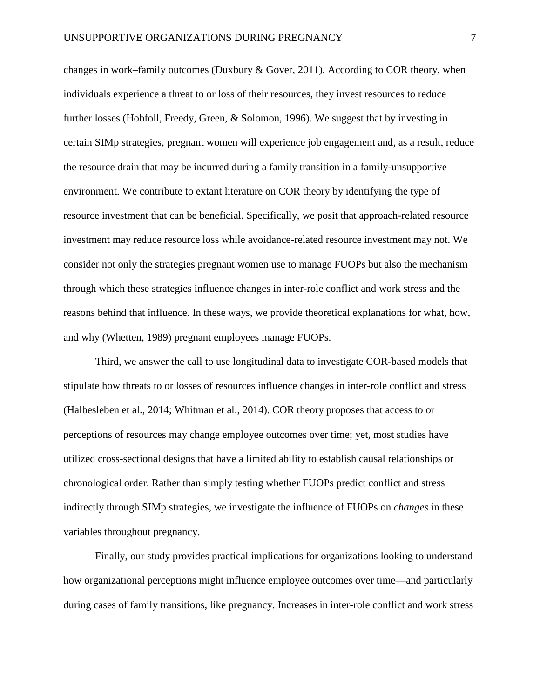changes in work–family outcomes (Duxbury & Gover, 2011). According to COR theory, when individuals experience a threat to or loss of their resources, they invest resources to reduce further losses (Hobfoll, Freedy, Green, & Solomon, 1996). We suggest that by investing in certain SIMp strategies, pregnant women will experience job engagement and, as a result, reduce the resource drain that may be incurred during a family transition in a family-unsupportive environment. We contribute to extant literature on COR theory by identifying the type of resource investment that can be beneficial. Specifically, we posit that approach-related resource investment may reduce resource loss while avoidance-related resource investment may not. We consider not only the strategies pregnant women use to manage FUOPs but also the mechanism through which these strategies influence changes in inter-role conflict and work stress and the reasons behind that influence. In these ways, we provide theoretical explanations for what, how, and why (Whetten, 1989) pregnant employees manage FUOPs.

Third, we answer the call to use longitudinal data to investigate COR-based models that stipulate how threats to or losses of resources influence changes in inter-role conflict and stress (Halbesleben et al., 2014; Whitman et al., 2014). COR theory proposes that access to or perceptions of resources may change employee outcomes over time; yet, most studies have utilized cross-sectional designs that have a limited ability to establish causal relationships or chronological order. Rather than simply testing whether FUOPs predict conflict and stress indirectly through SIMp strategies, we investigate the influence of FUOPs on *changes* in these variables throughout pregnancy.

Finally, our study provides practical implications for organizations looking to understand how organizational perceptions might influence employee outcomes over time—and particularly during cases of family transitions, like pregnancy. Increases in inter-role conflict and work stress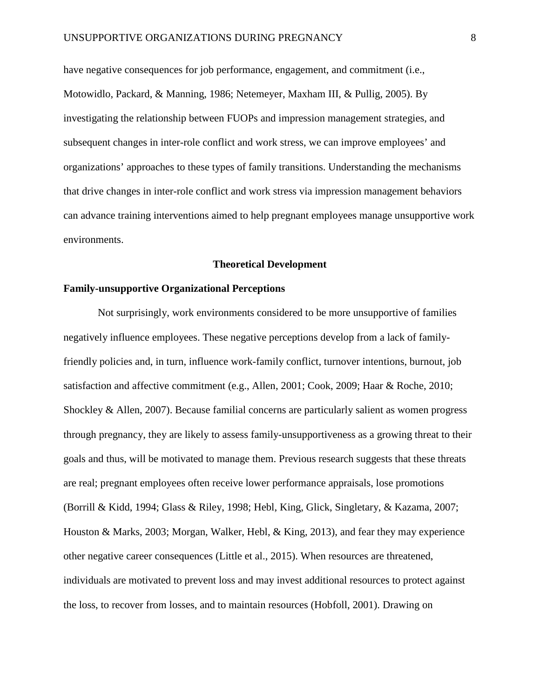have negative consequences for job performance, engagement, and commitment (i.e., Motowidlo, Packard, & Manning, 1986; Netemeyer, Maxham III, & Pullig, 2005). By investigating the relationship between FUOPs and impression management strategies, and subsequent changes in inter-role conflict and work stress, we can improve employees' and organizations' approaches to these types of family transitions. Understanding the mechanisms that drive changes in inter-role conflict and work stress via impression management behaviors can advance training interventions aimed to help pregnant employees manage unsupportive work environments.

#### **Theoretical Development**

# **Family-unsupportive Organizational Perceptions**

Not surprisingly, work environments considered to be more unsupportive of families negatively influence employees. These negative perceptions develop from a lack of familyfriendly policies and, in turn, influence work-family conflict, turnover intentions, burnout, job satisfaction and affective commitment (e.g., Allen, 2001; Cook, 2009; Haar & Roche, 2010; Shockley & Allen, 2007). Because familial concerns are particularly salient as women progress through pregnancy, they are likely to assess family-unsupportiveness as a growing threat to their goals and thus, will be motivated to manage them. Previous research suggests that these threats are real; pregnant employees often receive lower performance appraisals, lose promotions (Borrill & Kidd, 1994; Glass & Riley, 1998; Hebl, King, Glick, Singletary, & Kazama, 2007; Houston & Marks, 2003; Morgan, Walker, Hebl, & King, 2013), and fear they may experience other negative career consequences (Little et al., 2015). When resources are threatened, individuals are motivated to prevent loss and may invest additional resources to protect against the loss, to recover from losses, and to maintain resources (Hobfoll, 2001). Drawing on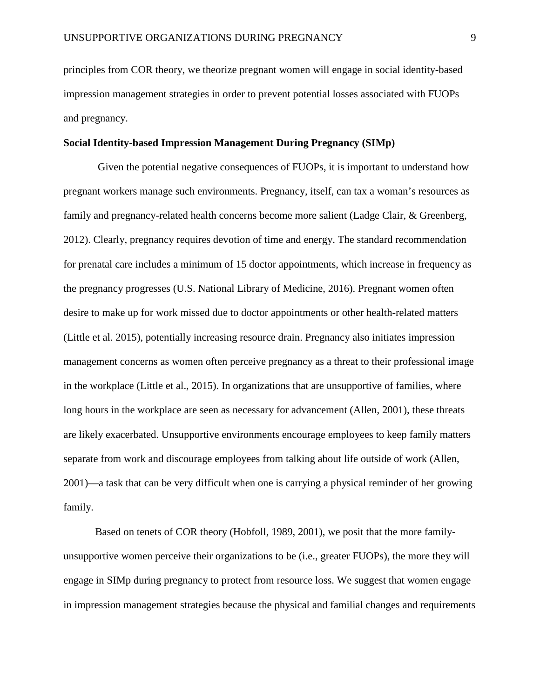principles from COR theory, we theorize pregnant women will engage in social identity-based impression management strategies in order to prevent potential losses associated with FUOPs and pregnancy.

## **Social Identity-based Impression Management During Pregnancy (SIMp)**

Given the potential negative consequences of FUOPs, it is important to understand how pregnant workers manage such environments. Pregnancy, itself, can tax a woman's resources as family and pregnancy-related health concerns become more salient (Ladge Clair, & Greenberg, 2012). Clearly, pregnancy requires devotion of time and energy. The standard recommendation for prenatal care includes a minimum of 15 doctor appointments, which increase in frequency as the pregnancy progresses (U.S. National Library of Medicine, 2016). Pregnant women often desire to make up for work missed due to doctor appointments or other health-related matters (Little et al. 2015), potentially increasing resource drain. Pregnancy also initiates impression management concerns as women often perceive pregnancy as a threat to their professional image in the workplace (Little et al., 2015). In organizations that are unsupportive of families, where long hours in the workplace are seen as necessary for advancement (Allen, 2001), these threats are likely exacerbated. Unsupportive environments encourage employees to keep family matters separate from work and discourage employees from talking about life outside of work (Allen, 2001)—a task that can be very difficult when one is carrying a physical reminder of her growing family.

Based on tenets of COR theory (Hobfoll, 1989, 2001), we posit that the more familyunsupportive women perceive their organizations to be (i.e., greater FUOPs), the more they will engage in SIMp during pregnancy to protect from resource loss. We suggest that women engage in impression management strategies because the physical and familial changes and requirements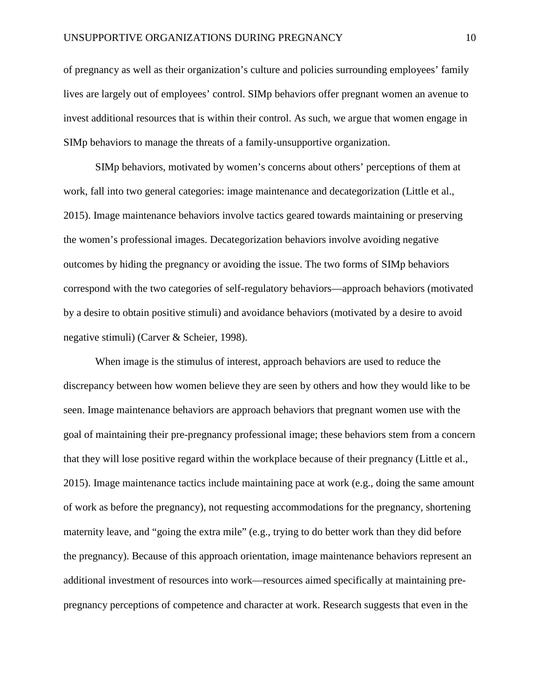of pregnancy as well as their organization's culture and policies surrounding employees' family lives are largely out of employees' control. SIMp behaviors offer pregnant women an avenue to invest additional resources that is within their control. As such, we argue that women engage in SIMp behaviors to manage the threats of a family-unsupportive organization.

SIMp behaviors, motivated by women's concerns about others' perceptions of them at work, fall into two general categories: image maintenance and decategorization (Little et al., 2015). Image maintenance behaviors involve tactics geared towards maintaining or preserving the women's professional images. Decategorization behaviors involve avoiding negative outcomes by hiding the pregnancy or avoiding the issue. The two forms of SIMp behaviors correspond with the two categories of self-regulatory behaviors—approach behaviors (motivated by a desire to obtain positive stimuli) and avoidance behaviors (motivated by a desire to avoid negative stimuli) (Carver & Scheier, 1998).

When image is the stimulus of interest, approach behaviors are used to reduce the discrepancy between how women believe they are seen by others and how they would like to be seen. Image maintenance behaviors are approach behaviors that pregnant women use with the goal of maintaining their pre-pregnancy professional image; these behaviors stem from a concern that they will lose positive regard within the workplace because of their pregnancy (Little et al., 2015). Image maintenance tactics include maintaining pace at work (e.g., doing the same amount of work as before the pregnancy), not requesting accommodations for the pregnancy, shortening maternity leave, and "going the extra mile" (e.g., trying to do better work than they did before the pregnancy). Because of this approach orientation, image maintenance behaviors represent an additional investment of resources into work—resources aimed specifically at maintaining prepregnancy perceptions of competence and character at work. Research suggests that even in the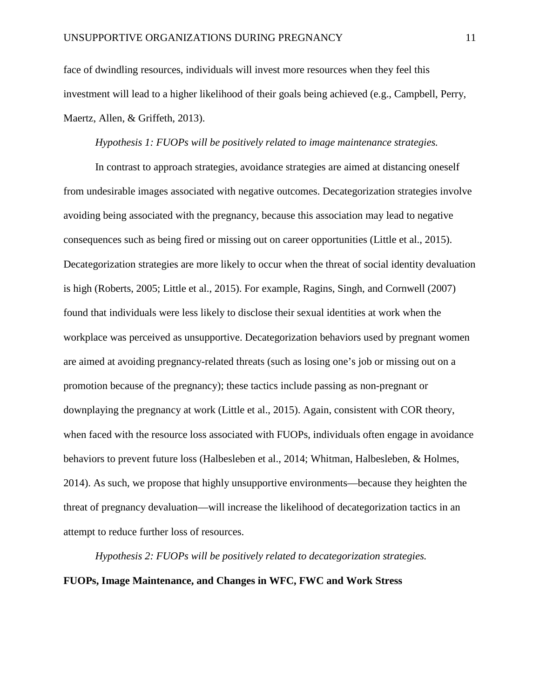face of dwindling resources, individuals will invest more resources when they feel this investment will lead to a higher likelihood of their goals being achieved (e.g., Campbell, Perry, Maertz, Allen, & Griffeth, 2013).

## *Hypothesis 1: FUOPs will be positively related to image maintenance strategies.*

In contrast to approach strategies, avoidance strategies are aimed at distancing oneself from undesirable images associated with negative outcomes. Decategorization strategies involve avoiding being associated with the pregnancy, because this association may lead to negative consequences such as being fired or missing out on career opportunities (Little et al., 2015). Decategorization strategies are more likely to occur when the threat of social identity devaluation is high (Roberts, 2005; Little et al., 2015). For example, Ragins, Singh, and Cornwell (2007) found that individuals were less likely to disclose their sexual identities at work when the workplace was perceived as unsupportive. Decategorization behaviors used by pregnant women are aimed at avoiding pregnancy-related threats (such as losing one's job or missing out on a promotion because of the pregnancy); these tactics include passing as non-pregnant or downplaying the pregnancy at work (Little et al., 2015). Again, consistent with COR theory, when faced with the resource loss associated with FUOPs, individuals often engage in avoidance behaviors to prevent future loss (Halbesleben et al., 2014; Whitman, Halbesleben, & Holmes, 2014). As such, we propose that highly unsupportive environments—because they heighten the threat of pregnancy devaluation—will increase the likelihood of decategorization tactics in an attempt to reduce further loss of resources.

*Hypothesis 2: FUOPs will be positively related to decategorization strategies.*  **FUOPs, Image Maintenance, and Changes in WFC, FWC and Work Stress**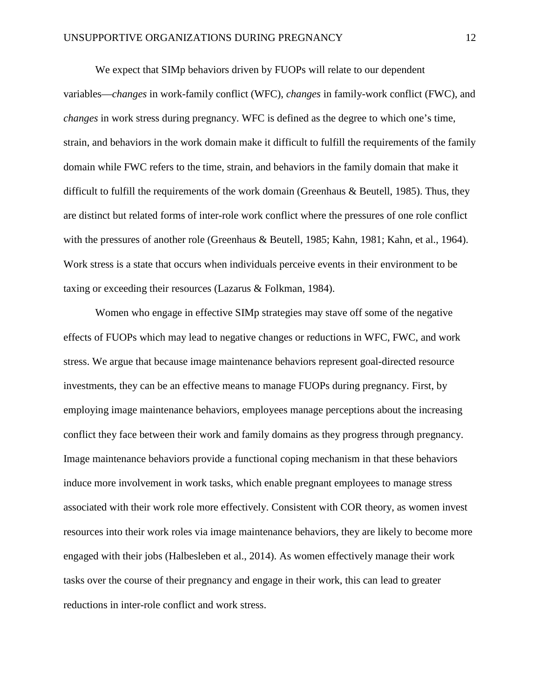We expect that SIMp behaviors driven by FUOPs will relate to our dependent variables—*changes* in work-family conflict (WFC), *changes* in family-work conflict (FWC), and *changes* in work stress during pregnancy. WFC is defined as the degree to which one's time, strain, and behaviors in the work domain make it difficult to fulfill the requirements of the family domain while FWC refers to the time, strain, and behaviors in the family domain that make it difficult to fulfill the requirements of the work domain (Greenhaus & Beutell, 1985). Thus, they are distinct but related forms of inter-role work conflict where the pressures of one role conflict with the pressures of another role (Greenhaus & Beutell, 1985; Kahn, 1981; Kahn, et al., 1964). Work stress is a state that occurs when individuals perceive events in their environment to be taxing or exceeding their resources (Lazarus & Folkman, 1984).

Women who engage in effective SIMp strategies may stave off some of the negative effects of FUOPs which may lead to negative changes or reductions in WFC, FWC, and work stress. We argue that because image maintenance behaviors represent goal-directed resource investments, they can be an effective means to manage FUOPs during pregnancy. First, by employing image maintenance behaviors, employees manage perceptions about the increasing conflict they face between their work and family domains as they progress through pregnancy. Image maintenance behaviors provide a functional coping mechanism in that these behaviors induce more involvement in work tasks, which enable pregnant employees to manage stress associated with their work role more effectively. Consistent with COR theory, as women invest resources into their work roles via image maintenance behaviors, they are likely to become more engaged with their jobs (Halbesleben et al., 2014). As women effectively manage their work tasks over the course of their pregnancy and engage in their work, this can lead to greater reductions in inter-role conflict and work stress.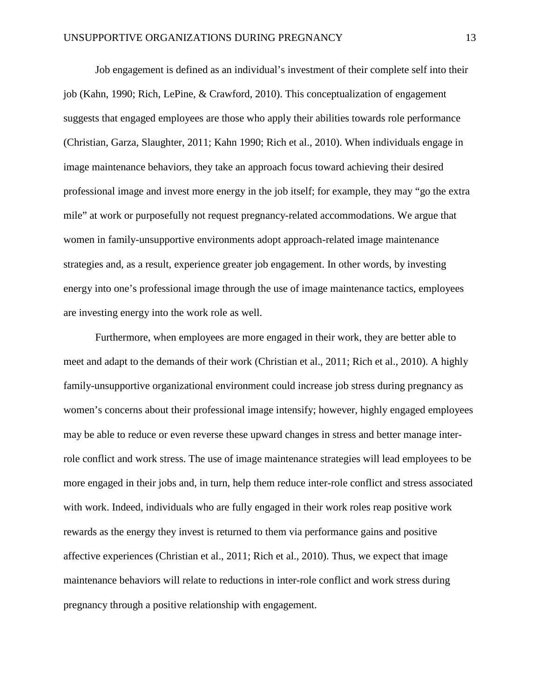Job engagement is defined as an individual's investment of their complete self into their job (Kahn, 1990; Rich, LePine, & Crawford, 2010). This conceptualization of engagement suggests that engaged employees are those who apply their abilities towards role performance (Christian, Garza, Slaughter, 2011; Kahn 1990; Rich et al., 2010). When individuals engage in image maintenance behaviors, they take an approach focus toward achieving their desired professional image and invest more energy in the job itself; for example, they may "go the extra mile" at work or purposefully not request pregnancy-related accommodations. We argue that women in family-unsupportive environments adopt approach-related image maintenance strategies and, as a result, experience greater job engagement. In other words, by investing energy into one's professional image through the use of image maintenance tactics, employees are investing energy into the work role as well.

Furthermore, when employees are more engaged in their work, they are better able to meet and adapt to the demands of their work (Christian et al., 2011; Rich et al., 2010). A highly family-unsupportive organizational environment could increase job stress during pregnancy as women's concerns about their professional image intensify; however, highly engaged employees may be able to reduce or even reverse these upward changes in stress and better manage interrole conflict and work stress. The use of image maintenance strategies will lead employees to be more engaged in their jobs and, in turn, help them reduce inter-role conflict and stress associated with work. Indeed, individuals who are fully engaged in their work roles reap positive work rewards as the energy they invest is returned to them via performance gains and positive affective experiences (Christian et al., 2011; Rich et al., 2010). Thus, we expect that image maintenance behaviors will relate to reductions in inter-role conflict and work stress during pregnancy through a positive relationship with engagement.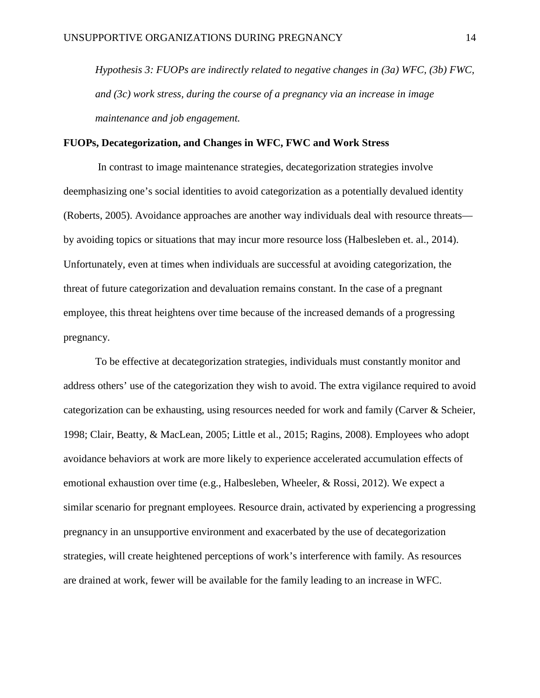*Hypothesis 3: FUOPs are indirectly related to negative changes in (3a) WFC, (3b) FWC, and (3c) work stress, during the course of a pregnancy via an increase in image maintenance and job engagement.*

# **FUOPs, Decategorization, and Changes in WFC, FWC and Work Stress**

In contrast to image maintenance strategies, decategorization strategies involve deemphasizing one's social identities to avoid categorization as a potentially devalued identity (Roberts, 2005). Avoidance approaches are another way individuals deal with resource threats by avoiding topics or situations that may incur more resource loss (Halbesleben et. al., 2014). Unfortunately, even at times when individuals are successful at avoiding categorization, the threat of future categorization and devaluation remains constant. In the case of a pregnant employee, this threat heightens over time because of the increased demands of a progressing pregnancy.

To be effective at decategorization strategies, individuals must constantly monitor and address others' use of the categorization they wish to avoid. The extra vigilance required to avoid categorization can be exhausting, using resources needed for work and family (Carver & Scheier, 1998; Clair, Beatty, & MacLean, 2005; Little et al., 2015; Ragins, 2008). Employees who adopt avoidance behaviors at work are more likely to experience accelerated accumulation effects of emotional exhaustion over time (e.g., Halbesleben, Wheeler, & Rossi, 2012). We expect a similar scenario for pregnant employees. Resource drain, activated by experiencing a progressing pregnancy in an unsupportive environment and exacerbated by the use of decategorization strategies, will create heightened perceptions of work's interference with family. As resources are drained at work, fewer will be available for the family leading to an increase in WFC.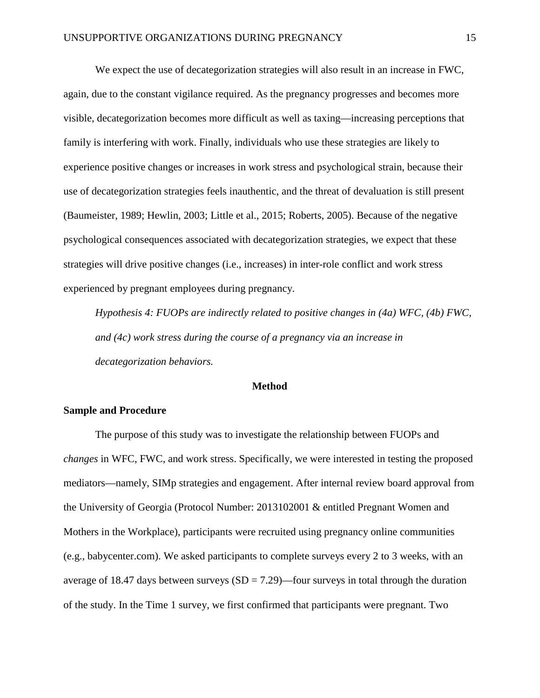We expect the use of decategorization strategies will also result in an increase in FWC, again, due to the constant vigilance required. As the pregnancy progresses and becomes more visible, decategorization becomes more difficult as well as taxing—increasing perceptions that family is interfering with work. Finally, individuals who use these strategies are likely to experience positive changes or increases in work stress and psychological strain, because their use of decategorization strategies feels inauthentic, and the threat of devaluation is still present (Baumeister, 1989; Hewlin, 2003; Little et al., 2015; Roberts, 2005). Because of the negative psychological consequences associated with decategorization strategies, we expect that these strategies will drive positive changes (i.e., increases) in inter-role conflict and work stress experienced by pregnant employees during pregnancy.

*Hypothesis 4: FUOPs are indirectly related to positive changes in (4a) WFC, (4b) FWC, and (4c) work stress during the course of a pregnancy via an increase in decategorization behaviors.*

# **Method**

# **Sample and Procedure**

The purpose of this study was to investigate the relationship between FUOPs and *changes* in WFC, FWC, and work stress. Specifically, we were interested in testing the proposed mediators—namely, SIMp strategies and engagement. After internal review board approval from the University of Georgia (Protocol Number: 2013102001 & entitled Pregnant Women and Mothers in the Workplace), participants were recruited using pregnancy online communities (e.g., babycenter.com). We asked participants to complete surveys every 2 to 3 weeks, with an average of 18.47 days between surveys  $(SD = 7.29)$ —four surveys in total through the duration of the study. In the Time 1 survey, we first confirmed that participants were pregnant. Two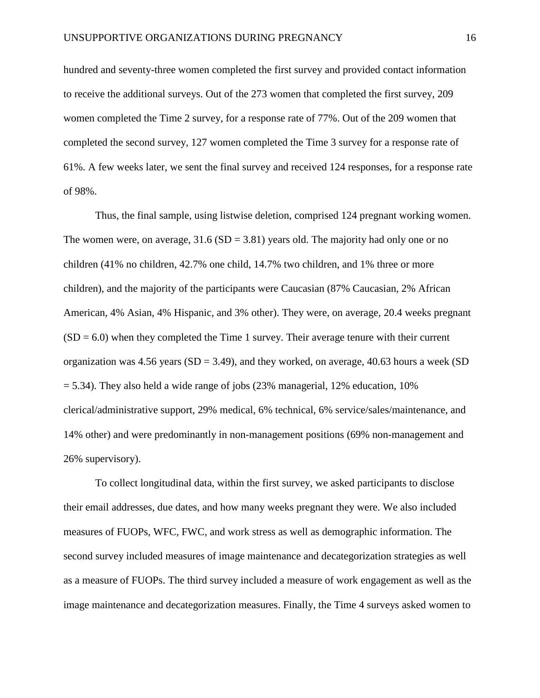hundred and seventy-three women completed the first survey and provided contact information to receive the additional surveys. Out of the 273 women that completed the first survey, 209 women completed the Time 2 survey, for a response rate of 77%. Out of the 209 women that completed the second survey, 127 women completed the Time 3 survey for a response rate of 61%. A few weeks later, we sent the final survey and received 124 responses, for a response rate of 98%.

Thus, the final sample, using listwise deletion, comprised 124 pregnant working women. The women were, on average,  $31.6(SD = 3.81)$  years old. The majority had only one or no children (41% no children, 42.7% one child, 14.7% two children, and 1% three or more children), and the majority of the participants were Caucasian (87% Caucasian, 2% African American, 4% Asian, 4% Hispanic, and 3% other). They were, on average, 20.4 weeks pregnant  $(SD = 6.0)$  when they completed the Time 1 survey. Their average tenure with their current organization was 4.56 years  $(SD = 3.49)$ , and they worked, on average, 40.63 hours a week  $(SD)$  $= 5.34$ ). They also held a wide range of jobs (23% managerial, 12% education, 10% clerical/administrative support, 29% medical, 6% technical, 6% service/sales/maintenance, and 14% other) and were predominantly in non-management positions (69% non-management and 26% supervisory).

To collect longitudinal data, within the first survey, we asked participants to disclose their email addresses, due dates, and how many weeks pregnant they were. We also included measures of FUOPs, WFC, FWC, and work stress as well as demographic information. The second survey included measures of image maintenance and decategorization strategies as well as a measure of FUOPs. The third survey included a measure of work engagement as well as the image maintenance and decategorization measures. Finally, the Time 4 surveys asked women to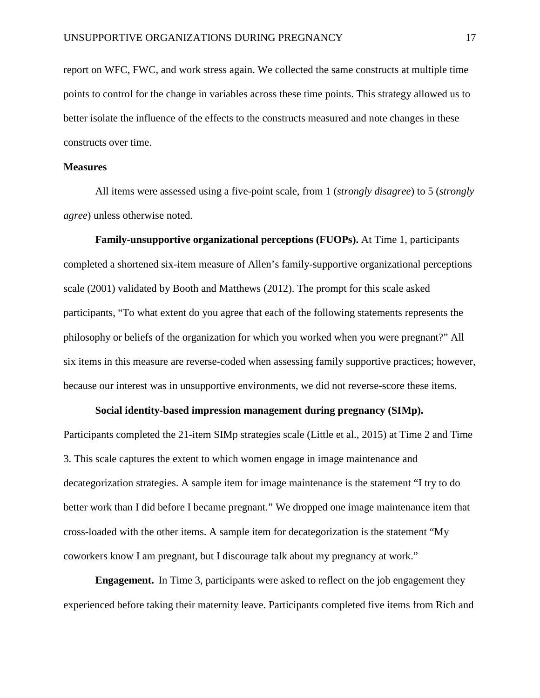report on WFC, FWC, and work stress again. We collected the same constructs at multiple time points to control for the change in variables across these time points. This strategy allowed us to better isolate the influence of the effects to the constructs measured and note changes in these constructs over time.

# **Measures**

All items were assessed using a five-point scale, from 1 (*strongly disagree*) to 5 (*strongly agree*) unless otherwise noted.

**Family-unsupportive organizational perceptions (FUOPs).** At Time 1, participants completed a shortened six-item measure of Allen's family-supportive organizational perceptions scale (2001) validated by Booth and Matthews (2012). The prompt for this scale asked participants, "To what extent do you agree that each of the following statements represents the philosophy or beliefs of the organization for which you worked when you were pregnant?" All six items in this measure are reverse-coded when assessing family supportive practices; however, because our interest was in unsupportive environments, we did not reverse-score these items.

# **Social identity-based impression management during pregnancy (SIMp).**

Participants completed the 21-item SIMp strategies scale (Little et al., 2015) at Time 2 and Time 3. This scale captures the extent to which women engage in image maintenance and decategorization strategies. A sample item for image maintenance is the statement "I try to do better work than I did before I became pregnant." We dropped one image maintenance item that cross-loaded with the other items. A sample item for decategorization is the statement "My coworkers know I am pregnant, but I discourage talk about my pregnancy at work."

**Engagement.** In Time 3, participants were asked to reflect on the job engagement they experienced before taking their maternity leave. Participants completed five items from Rich and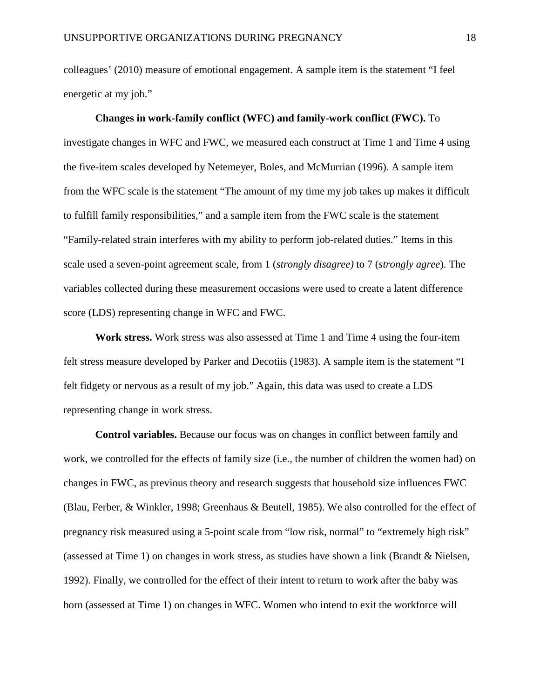colleagues' (2010) measure of emotional engagement. A sample item is the statement "I feel energetic at my job."

# **Changes in work-family conflict (WFC) and family-work conflict (FWC).** To investigate changes in WFC and FWC, we measured each construct at Time 1 and Time 4 using the five-item scales developed by Netemeyer, Boles, and McMurrian (1996). A sample item from the WFC scale is the statement "The amount of my time my job takes up makes it difficult to fulfill family responsibilities," and a sample item from the FWC scale is the statement "Family-related strain interferes with my ability to perform job-related duties." Items in this scale used a seven-point agreement scale, from 1 (*strongly disagree)* to 7 (*strongly agree*). The variables collected during these measurement occasions were used to create a latent difference score (LDS) representing change in WFC and FWC.

**Work stress.** Work stress was also assessed at Time 1 and Time 4 using the four-item felt stress measure developed by Parker and Decotiis (1983). A sample item is the statement "I felt fidgety or nervous as a result of my job." Again, this data was used to create a LDS representing change in work stress.

**Control variables.** Because our focus was on changes in conflict between family and work, we controlled for the effects of family size (i.e., the number of children the women had) on changes in FWC, as previous theory and research suggests that household size influences FWC (Blau, Ferber, & Winkler, 1998; Greenhaus & Beutell, 1985). We also controlled for the effect of pregnancy risk measured using a 5-point scale from "low risk, normal" to "extremely high risk" (assessed at Time 1) on changes in work stress, as studies have shown a link (Brandt & Nielsen, 1992). Finally, we controlled for the effect of their intent to return to work after the baby was born (assessed at Time 1) on changes in WFC. Women who intend to exit the workforce will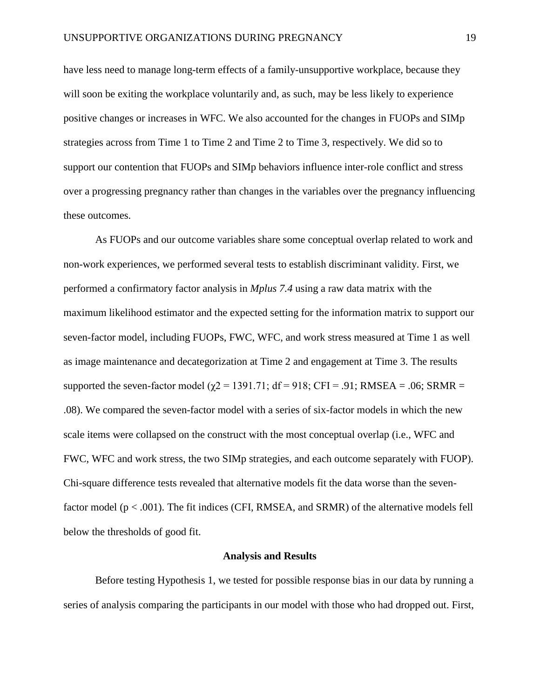have less need to manage long-term effects of a family-unsupportive workplace, because they will soon be exiting the workplace voluntarily and, as such, may be less likely to experience positive changes or increases in WFC. We also accounted for the changes in FUOPs and SIMp strategies across from Time 1 to Time 2 and Time 2 to Time 3, respectively. We did so to support our contention that FUOPs and SIMp behaviors influence inter-role conflict and stress over a progressing pregnancy rather than changes in the variables over the pregnancy influencing these outcomes.

As FUOPs and our outcome variables share some conceptual overlap related to work and non-work experiences, we performed several tests to establish discriminant validity. First, we performed a confirmatory factor analysis in *Mplus 7.4* using a raw data matrix with the maximum likelihood estimator and the expected setting for the information matrix to support our seven-factor model, including FUOPs, FWC, WFC, and work stress measured at Time 1 as well as image maintenance and decategorization at Time 2 and engagement at Time 3. The results supported the seven-factor model ( $\chi$ 2 = 1391.71; df = 918; CFI = .91; RMSEA = .06; SRMR = .08). We compared the seven-factor model with a series of six-factor models in which the new scale items were collapsed on the construct with the most conceptual overlap (i.e., WFC and FWC, WFC and work stress, the two SIMp strategies, and each outcome separately with FUOP). Chi-square difference tests revealed that alternative models fit the data worse than the sevenfactor model (p < .001). The fit indices (CFI, RMSEA, and SRMR) of the alternative models fell below the thresholds of good fit.

#### **Analysis and Results**

Before testing Hypothesis 1, we tested for possible response bias in our data by running a series of analysis comparing the participants in our model with those who had dropped out. First,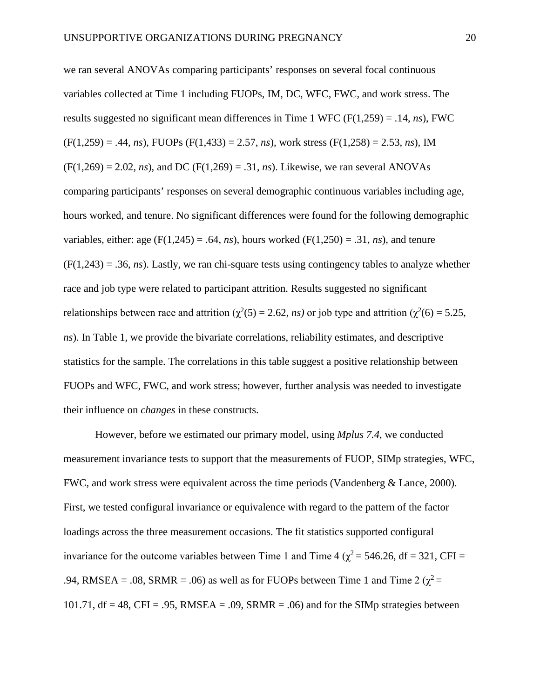we ran several ANOVAs comparing participants' responses on several focal continuous variables collected at Time 1 including FUOPs, IM, DC, WFC, FWC, and work stress. The results suggested no significant mean differences in Time 1 WFC (F(1,259) = .14, *ns*), FWC  $(F(1,259) = .44, ns)$ , FUOPs  $(F(1,433) = 2.57, ns)$ , work stress  $(F(1,258) = 2.53, ns)$ , IM  $(F(1,269) = 2.02, ns)$ , and DC  $(F(1,269) = .31, ns)$ . Likewise, we ran several ANOVAs comparing participants' responses on several demographic continuous variables including age, hours worked, and tenure. No significant differences were found for the following demographic variables, either: age  $(F(1,245) = .64, ns)$ , hours worked  $(F(1,250) = .31, ns)$ , and tenure  $(F(1,243) = .36, ns)$ . Lastly, we ran chi-square tests using contingency tables to analyze whether race and job type were related to participant attrition. Results suggested no significant relationships between race and attrition ( $\chi^2(5) = 2.62$ , *ns*) or job type and attrition ( $\chi^2(6) = 5.25$ , *ns*). In Table 1, we provide the bivariate correlations, reliability estimates, and descriptive statistics for the sample. The correlations in this table suggest a positive relationship between FUOPs and WFC, FWC, and work stress; however, further analysis was needed to investigate their influence on *changes* in these constructs.

However, before we estimated our primary model, using *Mplus 7.4*, we conducted measurement invariance tests to support that the measurements of FUOP, SIMp strategies, WFC, FWC, and work stress were equivalent across the time periods (Vandenberg & Lance, 2000). First, we tested configural invariance or equivalence with regard to the pattern of the factor loadings across the three measurement occasions. The fit statistics supported configural invariance for the outcome variables between Time 1 and Time 4 ( $\chi^2$  = 546.26, df = 321, CFI = .94, RMSEA = .08, SRMR = .06) as well as for FUOPs between Time 1 and Time 2 ( $\chi^2$  = 101.71,  $df = 48$ , CFI = .95, RMSEA = .09, SRMR = .06) and for the SIMp strategies between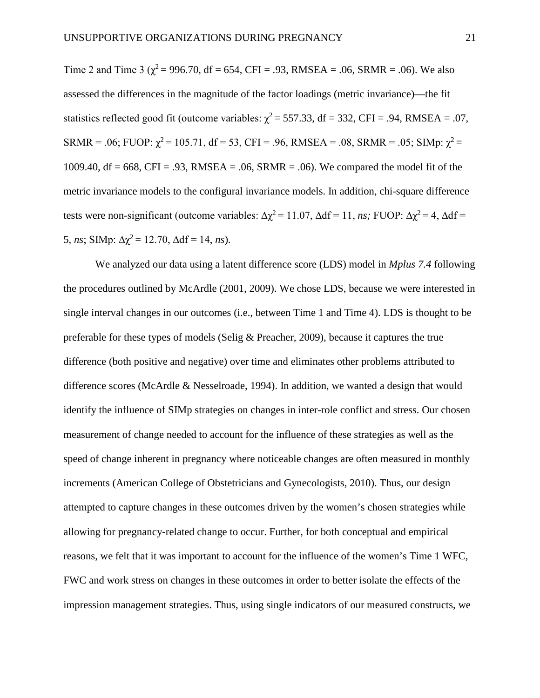Time 2 and Time 3 ( $\chi^2$  = 996.70, df = 654, CFI = .93, RMSEA = .06, SRMR = .06). We also assessed the differences in the magnitude of the factor loadings (metric invariance)—the fit statistics reflected good fit (outcome variables:  $\chi^2$  = 557.33, df = 332, CFI = .94, RMSEA = .07, SRMR = .06; FUOP:  $\chi^2$  = 105.71, df = 53, CFI = .96, RMSEA = .08, SRMR = .05; SIMp:  $\chi^2$  = 1009.40, df = 668, CFI = .93, RMSEA = .06, SRMR = .06). We compared the model fit of the metric invariance models to the configural invariance models. In addition, chi-square difference tests were non-significant (outcome variables:  $\Delta \chi^2 = 11.07$ ,  $\Delta df = 11$ , *ns*; FUOP:  $\Delta \chi^2 = 4$ ,  $\Delta df =$ 5, *ns*; SIMp:  $\Delta \chi^2 = 12.70$ ,  $\Delta df = 14$ , *ns*).

We analyzed our data using a latent difference score (LDS) model in *Mplus 7.4* following the procedures outlined by McArdle (2001, 2009). We chose LDS, because we were interested in single interval changes in our outcomes (i.e., between Time 1 and Time 4). LDS is thought to be preferable for these types of models (Selig & Preacher, 2009), because it captures the true difference (both positive and negative) over time and eliminates other problems attributed to difference scores (McArdle & Nesselroade, 1994). In addition, we wanted a design that would identify the influence of SIMp strategies on changes in inter-role conflict and stress. Our chosen measurement of change needed to account for the influence of these strategies as well as the speed of change inherent in pregnancy where noticeable changes are often measured in monthly increments (American College of Obstetricians and Gynecologists, 2010). Thus, our design attempted to capture changes in these outcomes driven by the women's chosen strategies while allowing for pregnancy-related change to occur. Further, for both conceptual and empirical reasons, we felt that it was important to account for the influence of the women's Time 1 WFC, FWC and work stress on changes in these outcomes in order to better isolate the effects of the impression management strategies. Thus, using single indicators of our measured constructs, we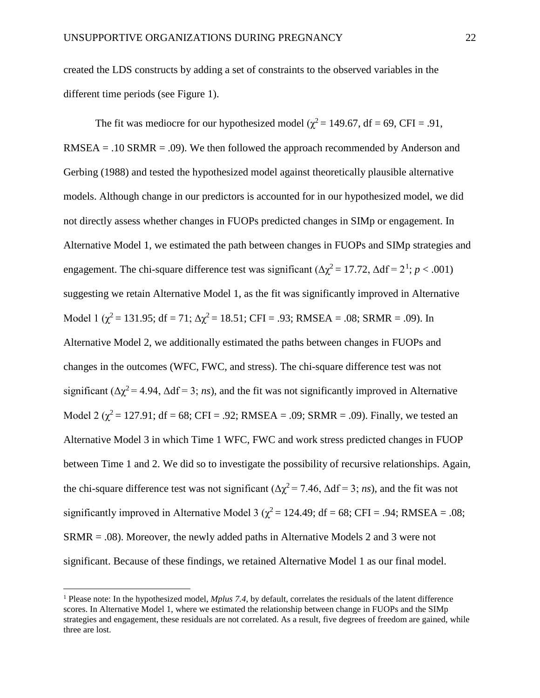created the LDS constructs by adding a set of constraints to the observed variables in the different time periods (see Figure 1).

The fit was mediocre for our hypothesized model ( $\chi^2$  = 149.67, df = 69, CFI = .91,  $RMSEA = .10 SRMR = .09$ . We then followed the approach recommended by Anderson and Gerbing (1988) and tested the hypothesized model against theoretically plausible alternative models. Although change in our predictors is accounted for in our hypothesized model, we did not directly assess whether changes in FUOPs predicted changes in SIMp or engagement. In Alternative Model 1, we estimated the path between changes in FUOPs and SIMp strategies and engagement. The chi-square difference test was significant  $(\Delta \chi^2 = 17.72, \Delta df = 2^1; p < .001)$  $(\Delta \chi^2 = 17.72, \Delta df = 2^1; p < .001)$  $(\Delta \chi^2 = 17.72, \Delta df = 2^1; p < .001)$ suggesting we retain Alternative Model 1, as the fit was significantly improved in Alternative Model 1 ( $\chi^2$  = 131.95; df = 71;  $\Delta \chi^2$  = 18.51; CFI = .93; RMSEA = .08; SRMR = .09). In Alternative Model 2, we additionally estimated the paths between changes in FUOPs and changes in the outcomes (WFC, FWC, and stress). The chi-square difference test was not significant ( $\Delta \chi^2$  = 4.94,  $\Delta df$  = 3; *ns*), and the fit was not significantly improved in Alternative Model 2 ( $\chi^2$  = 127.91; df = 68; CFI = .92; RMSEA = .09; SRMR = .09). Finally, we tested an Alternative Model 3 in which Time 1 WFC, FWC and work stress predicted changes in FUOP between Time 1 and 2. We did so to investigate the possibility of recursive relationships. Again, the chi-square difference test was not significant ( $\Delta \chi^2 = 7.46$ ,  $\Delta df = 3$ ; *ns*), and the fit was not significantly improved in Alternative Model 3 ( $\chi^2$  = 124.49; df = 68; CFI = .94; RMSEA = .08; SRMR = .08). Moreover, the newly added paths in Alternative Models 2 and 3 were not significant. Because of these findings, we retained Alternative Model 1 as our final model.

<span id="page-21-0"></span> <sup>1</sup> Please note: In the hypothesized model, *Mplus 7.4*, by default, correlates the residuals of the latent difference scores. In Alternative Model 1, where we estimated the relationship between change in FUOPs and the SIMp strategies and engagement, these residuals are not correlated. As a result, five degrees of freedom are gained, while three are lost.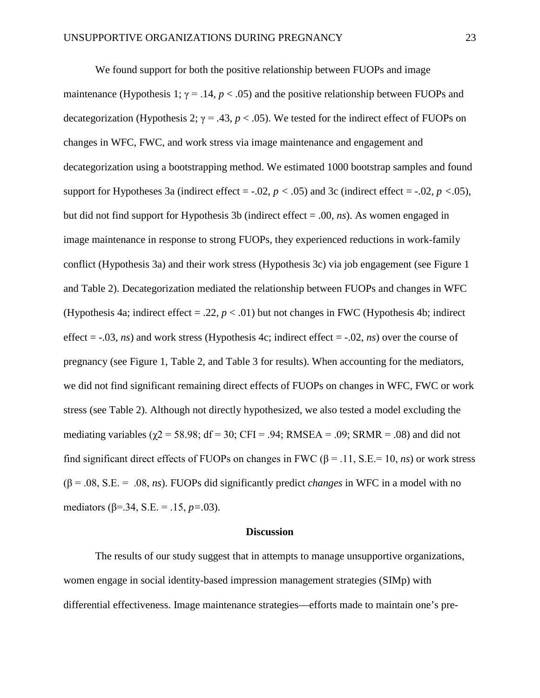We found support for both the positive relationship between FUOPs and image maintenance (Hypothesis 1;  $\gamma = .14$ ,  $p < .05$ ) and the positive relationship between FUOPs and decategorization (Hypothesis 2;  $\gamma = .43$ ,  $p < .05$ ). We tested for the indirect effect of FUOPs on changes in WFC, FWC, and work stress via image maintenance and engagement and decategorization using a bootstrapping method. We estimated 1000 bootstrap samples and found support for Hypotheses 3a (indirect effect =  $-0.02$ ,  $p < 0.05$ ) and 3c (indirect effect =  $-0.02$ ,  $p < 0.05$ ), but did not find support for Hypothesis 3b (indirect effect = .00, *ns*). As women engaged in image maintenance in response to strong FUOPs, they experienced reductions in work-family conflict (Hypothesis 3a) and their work stress (Hypothesis 3c) via job engagement (see Figure 1 and Table 2). Decategorization mediated the relationship between FUOPs and changes in WFC (Hypothesis 4a; indirect effect = .22,  $p < .01$ ) but not changes in FWC (Hypothesis 4b; indirect effect = -.03, *ns*) and work stress (Hypothesis 4c; indirect effect = -.02, *ns*) over the course of pregnancy (see Figure 1, Table 2, and Table 3 for results). When accounting for the mediators, we did not find significant remaining direct effects of FUOPs on changes in WFC, FWC or work stress (see Table 2). Although not directly hypothesized, we also tested a model excluding the mediating variables ( $\gamma$ 2 = 58.98; df = 30; CFI = .94; RMSEA = .09; SRMR = .08) and did not find significant direct effects of FUOPs on changes in FWC ( $\beta$  = .11, S.E.= 10, *ns*) or work stress (β = .08, S.E. = .08, *ns*). FUOPs did significantly predict *changes* in WFC in a model with no mediators (β=.34, S.E. = .15, *p=.*03).

## **Discussion**

The results of our study suggest that in attempts to manage unsupportive organizations, women engage in social identity-based impression management strategies (SIMp) with differential effectiveness. Image maintenance strategies—efforts made to maintain one's pre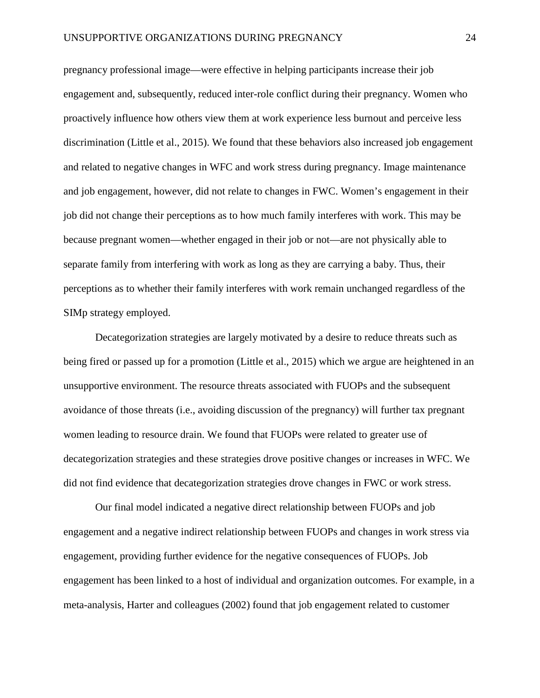pregnancy professional image—were effective in helping participants increase their job engagement and, subsequently, reduced inter-role conflict during their pregnancy. Women who proactively influence how others view them at work experience less burnout and perceive less discrimination (Little et al., 2015). We found that these behaviors also increased job engagement and related to negative changes in WFC and work stress during pregnancy. Image maintenance and job engagement, however, did not relate to changes in FWC. Women's engagement in their job did not change their perceptions as to how much family interferes with work. This may be because pregnant women—whether engaged in their job or not—are not physically able to separate family from interfering with work as long as they are carrying a baby. Thus, their perceptions as to whether their family interferes with work remain unchanged regardless of the SIMp strategy employed.

Decategorization strategies are largely motivated by a desire to reduce threats such as being fired or passed up for a promotion (Little et al., 2015) which we argue are heightened in an unsupportive environment. The resource threats associated with FUOPs and the subsequent avoidance of those threats (i.e., avoiding discussion of the pregnancy) will further tax pregnant women leading to resource drain. We found that FUOPs were related to greater use of decategorization strategies and these strategies drove positive changes or increases in WFC. We did not find evidence that decategorization strategies drove changes in FWC or work stress.

Our final model indicated a negative direct relationship between FUOPs and job engagement and a negative indirect relationship between FUOPs and changes in work stress via engagement, providing further evidence for the negative consequences of FUOPs. Job engagement has been linked to a host of individual and organization outcomes. For example, in a meta-analysis, Harter and colleagues (2002) found that job engagement related to customer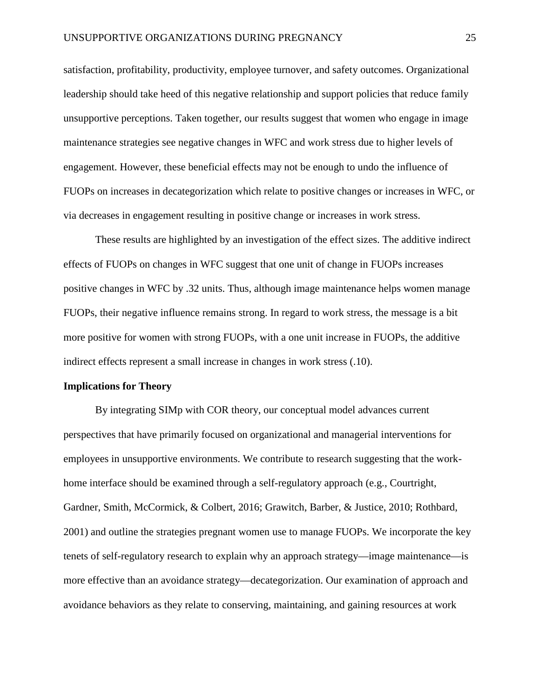satisfaction, profitability, productivity, employee turnover, and safety outcomes. Organizational leadership should take heed of this negative relationship and support policies that reduce family unsupportive perceptions. Taken together, our results suggest that women who engage in image maintenance strategies see negative changes in WFC and work stress due to higher levels of engagement. However, these beneficial effects may not be enough to undo the influence of FUOPs on increases in decategorization which relate to positive changes or increases in WFC, or via decreases in engagement resulting in positive change or increases in work stress.

These results are highlighted by an investigation of the effect sizes. The additive indirect effects of FUOPs on changes in WFC suggest that one unit of change in FUOPs increases positive changes in WFC by .32 units. Thus, although image maintenance helps women manage FUOPs, their negative influence remains strong. In regard to work stress, the message is a bit more positive for women with strong FUOPs, with a one unit increase in FUOPs, the additive indirect effects represent a small increase in changes in work stress (.10).

# **Implications for Theory**

By integrating SIMp with COR theory, our conceptual model advances current perspectives that have primarily focused on organizational and managerial interventions for employees in unsupportive environments. We contribute to research suggesting that the workhome interface should be examined through a self-regulatory approach (e.g., Courtright, Gardner, Smith, McCormick, & Colbert, 2016; Grawitch, Barber, & Justice, 2010; Rothbard, 2001) and outline the strategies pregnant women use to manage FUOPs. We incorporate the key tenets of self-regulatory research to explain why an approach strategy—image maintenance—is more effective than an avoidance strategy—decategorization. Our examination of approach and avoidance behaviors as they relate to conserving, maintaining, and gaining resources at work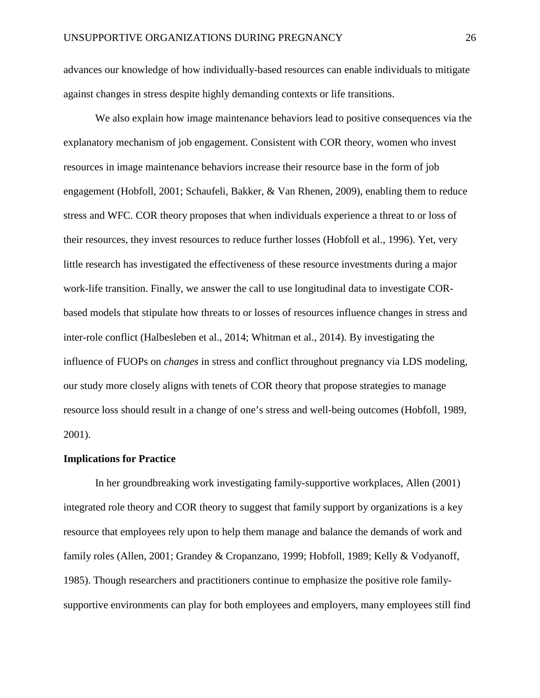advances our knowledge of how individually-based resources can enable individuals to mitigate against changes in stress despite highly demanding contexts or life transitions.

We also explain how image maintenance behaviors lead to positive consequences via the explanatory mechanism of job engagement. Consistent with COR theory, women who invest resources in image maintenance behaviors increase their resource base in the form of job engagement (Hobfoll, 2001; Schaufeli, Bakker, & Van Rhenen, 2009), enabling them to reduce stress and WFC. COR theory proposes that when individuals experience a threat to or loss of their resources, they invest resources to reduce further losses (Hobfoll et al., 1996). Yet, very little research has investigated the effectiveness of these resource investments during a major work-life transition. Finally, we answer the call to use longitudinal data to investigate CORbased models that stipulate how threats to or losses of resources influence changes in stress and inter-role conflict (Halbesleben et al., 2014; Whitman et al., 2014). By investigating the influence of FUOPs on *changes* in stress and conflict throughout pregnancy via LDS modeling, our study more closely aligns with tenets of COR theory that propose strategies to manage resource loss should result in a change of one's stress and well-being outcomes (Hobfoll, 1989, 2001).

#### **Implications for Practice**

In her groundbreaking work investigating family-supportive workplaces, Allen (2001) integrated role theory and COR theory to suggest that family support by organizations is a key resource that employees rely upon to help them manage and balance the demands of work and family roles (Allen, 2001; Grandey & Cropanzano, 1999; Hobfoll, 1989; Kelly & Vodyanoff, 1985). Though researchers and practitioners continue to emphasize the positive role familysupportive environments can play for both employees and employers, many employees still find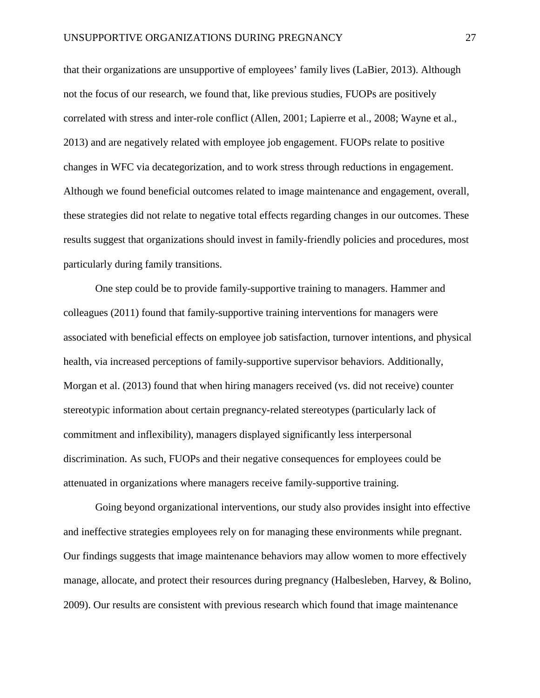that their organizations are unsupportive of employees' family lives (LaBier, 2013). Although not the focus of our research, we found that, like previous studies, FUOPs are positively correlated with stress and inter-role conflict (Allen, 2001; Lapierre et al., 2008; Wayne et al., 2013) and are negatively related with employee job engagement. FUOPs relate to positive changes in WFC via decategorization, and to work stress through reductions in engagement. Although we found beneficial outcomes related to image maintenance and engagement, overall, these strategies did not relate to negative total effects regarding changes in our outcomes. These results suggest that organizations should invest in family-friendly policies and procedures, most particularly during family transitions.

One step could be to provide family-supportive training to managers. Hammer and colleagues (2011) found that family-supportive training interventions for managers were associated with beneficial effects on employee job satisfaction, turnover intentions, and physical health, via increased perceptions of family-supportive supervisor behaviors. Additionally, Morgan et al. (2013) found that when hiring managers received (vs. did not receive) counter stereotypic information about certain pregnancy-related stereotypes (particularly lack of commitment and inflexibility), managers displayed significantly less interpersonal discrimination. As such, FUOPs and their negative consequences for employees could be attenuated in organizations where managers receive family-supportive training.

Going beyond organizational interventions, our study also provides insight into effective and ineffective strategies employees rely on for managing these environments while pregnant. Our findings suggests that image maintenance behaviors may allow women to more effectively manage, allocate, and protect their resources during pregnancy (Halbesleben, Harvey, & Bolino, 2009). Our results are consistent with previous research which found that image maintenance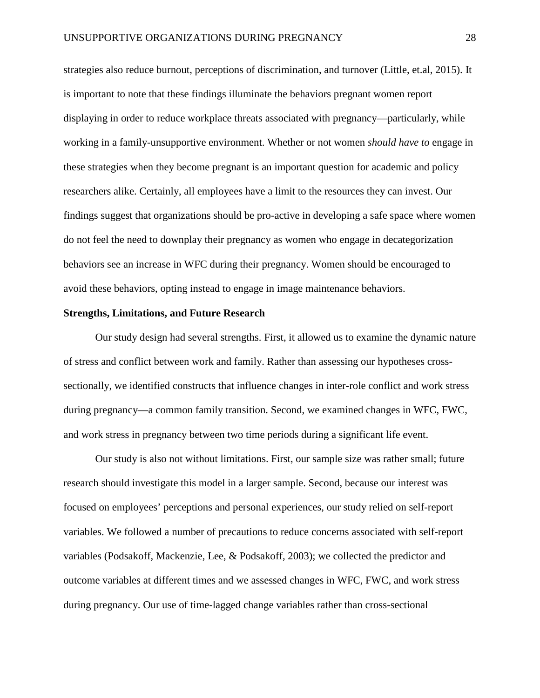strategies also reduce burnout, perceptions of discrimination, and turnover (Little, et.al, 2015). It is important to note that these findings illuminate the behaviors pregnant women report displaying in order to reduce workplace threats associated with pregnancy—particularly, while working in a family-unsupportive environment. Whether or not women *should have to* engage in these strategies when they become pregnant is an important question for academic and policy researchers alike. Certainly, all employees have a limit to the resources they can invest. Our findings suggest that organizations should be pro-active in developing a safe space where women do not feel the need to downplay their pregnancy as women who engage in decategorization behaviors see an increase in WFC during their pregnancy. Women should be encouraged to avoid these behaviors, opting instead to engage in image maintenance behaviors.

#### **Strengths, Limitations, and Future Research**

Our study design had several strengths. First, it allowed us to examine the dynamic nature of stress and conflict between work and family. Rather than assessing our hypotheses crosssectionally, we identified constructs that influence changes in inter-role conflict and work stress during pregnancy—a common family transition. Second, we examined changes in WFC, FWC, and work stress in pregnancy between two time periods during a significant life event.

Our study is also not without limitations. First, our sample size was rather small; future research should investigate this model in a larger sample. Second, because our interest was focused on employees' perceptions and personal experiences, our study relied on self-report variables. We followed a number of precautions to reduce concerns associated with self-report variables (Podsakoff, Mackenzie, Lee, & Podsakoff, 2003); we collected the predictor and outcome variables at different times and we assessed changes in WFC, FWC, and work stress during pregnancy. Our use of time-lagged change variables rather than cross-sectional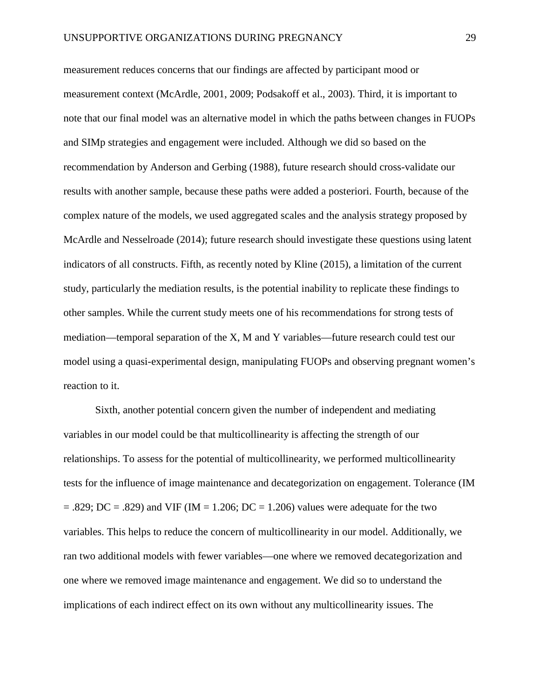measurement reduces concerns that our findings are affected by participant mood or measurement context (McArdle, 2001, 2009; Podsakoff et al., 2003). Third, it is important to note that our final model was an alternative model in which the paths between changes in FUOPs and SIMp strategies and engagement were included. Although we did so based on the recommendation by Anderson and Gerbing (1988), future research should cross-validate our results with another sample, because these paths were added a posteriori. Fourth, because of the complex nature of the models, we used aggregated scales and the analysis strategy proposed by McArdle and Nesselroade (2014); future research should investigate these questions using latent indicators of all constructs. Fifth, as recently noted by Kline (2015), a limitation of the current study, particularly the mediation results, is the potential inability to replicate these findings to other samples. While the current study meets one of his recommendations for strong tests of mediation—temporal separation of the X, M and Y variables—future research could test our model using a quasi-experimental design, manipulating FUOPs and observing pregnant women's reaction to it.

Sixth, another potential concern given the number of independent and mediating variables in our model could be that multicollinearity is affecting the strength of our relationships. To assess for the potential of multicollinearity, we performed multicollinearity tests for the influence of image maintenance and decategorization on engagement. Tolerance (IM  $=$  .829; DC = .829) and VIF (IM = 1.206; DC = 1.206) values were adequate for the two variables. This helps to reduce the concern of multicollinearity in our model. Additionally, we ran two additional models with fewer variables—one where we removed decategorization and one where we removed image maintenance and engagement. We did so to understand the implications of each indirect effect on its own without any multicollinearity issues. The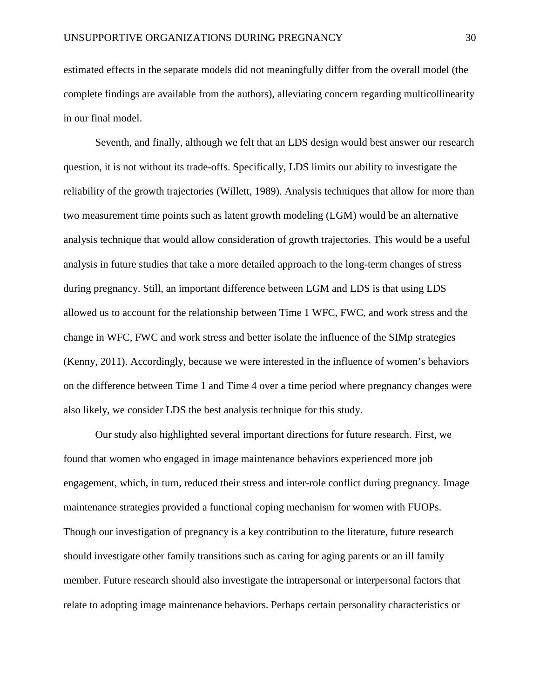estimated effects in the separate models did not meaningfully differ from the overall model (the complete findings are available from the authors), alleviating concern regarding multicollinearity in our final model.

Seventh, and finally, although we felt that an LDS design would best answer our research question, it is not without its trade-offs. Specifically, LDS limits our ability to investigate the reliability of the growth trajectories (Willett, 1989). Analysis techniques that allow for more than two measurement time points such as latent growth modeling (LGM) would be an alternative analysis technique that would allow consideration of growth trajectories. This would be a useful analysis in future studies that take a more detailed approach to the long-term changes of stress during pregnancy. Still, an important difference between LGM and LDS is that using LDS allowed us to account for the relationship between Time 1 WFC, FWC, and work stress and the change in WFC, FWC and work stress and better isolate the influence of the SIMp strategies (Kenny, 2011). Accordingly, because we were interested in the influence of women's behaviors on the difference between Time 1 and Time 4 over a time period where pregnancy changes were also likely, we consider LDS the best analysis technique for this study.

Our study also highlighted several important directions for future research. First, we found that women who engaged in image maintenance behaviors experienced more job engagement, which, in turn, reduced their stress and inter-role conflict during pregnancy. Image maintenance strategies provided a functional coping mechanism for women with FUOPs. Though our investigation of pregnancy is a key contribution to the literature, future research should investigate other family transitions such as caring for aging parents or an ill family member. Future research should also investigate the intrapersonal or interpersonal factors that relate to adopting image maintenance behaviors. Perhaps certain personality characteristics or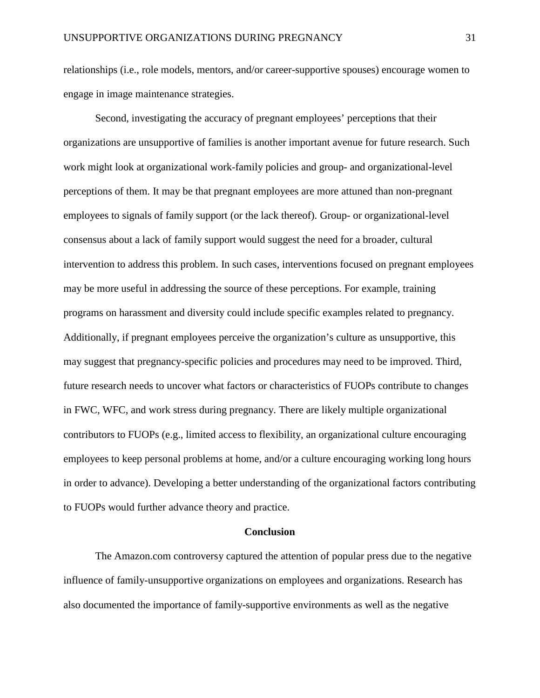relationships (i.e., role models, mentors, and/or career-supportive spouses) encourage women to engage in image maintenance strategies.

Second, investigating the accuracy of pregnant employees' perceptions that their organizations are unsupportive of families is another important avenue for future research. Such work might look at organizational work-family policies and group- and organizational-level perceptions of them. It may be that pregnant employees are more attuned than non-pregnant employees to signals of family support (or the lack thereof). Group- or organizational-level consensus about a lack of family support would suggest the need for a broader, cultural intervention to address this problem. In such cases, interventions focused on pregnant employees may be more useful in addressing the source of these perceptions. For example, training programs on harassment and diversity could include specific examples related to pregnancy. Additionally, if pregnant employees perceive the organization's culture as unsupportive, this may suggest that pregnancy-specific policies and procedures may need to be improved. Third, future research needs to uncover what factors or characteristics of FUOPs contribute to changes in FWC, WFC, and work stress during pregnancy. There are likely multiple organizational contributors to FUOPs (e.g., limited access to flexibility, an organizational culture encouraging employees to keep personal problems at home, and/or a culture encouraging working long hours in order to advance). Developing a better understanding of the organizational factors contributing to FUOPs would further advance theory and practice.

## **Conclusion**

The Amazon.com controversy captured the attention of popular press due to the negative influence of family-unsupportive organizations on employees and organizations. Research has also documented the importance of family-supportive environments as well as the negative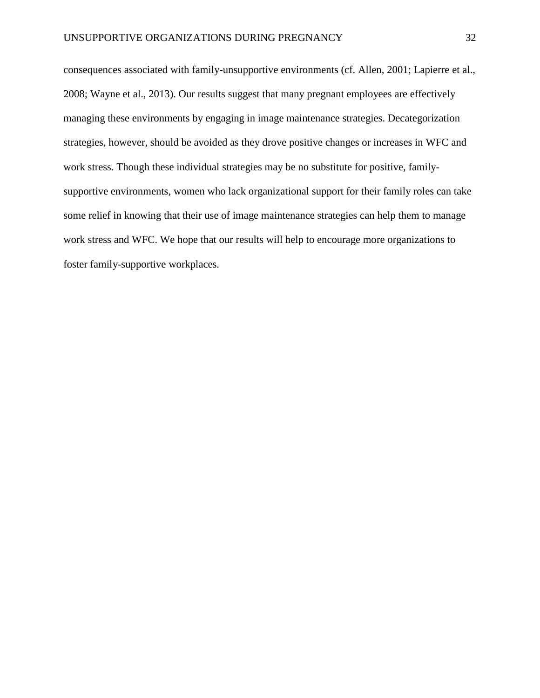consequences associated with family-unsupportive environments (cf. Allen, 2001; Lapierre et al., 2008; Wayne et al., 2013). Our results suggest that many pregnant employees are effectively managing these environments by engaging in image maintenance strategies. Decategorization strategies, however, should be avoided as they drove positive changes or increases in WFC and work stress. Though these individual strategies may be no substitute for positive, familysupportive environments, women who lack organizational support for their family roles can take some relief in knowing that their use of image maintenance strategies can help them to manage work stress and WFC. We hope that our results will help to encourage more organizations to foster family-supportive workplaces.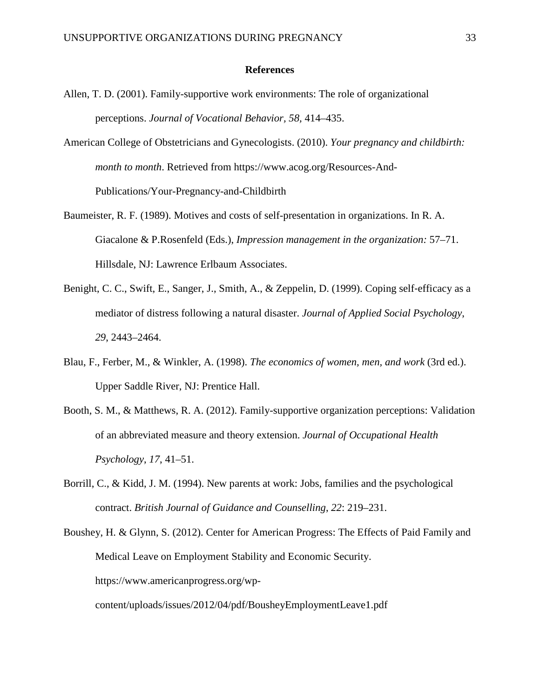## **References**

- Allen, T. D. (2001). Family-supportive work environments: The role of organizational perceptions. *Journal of Vocational Behavior, 58,* 414–435.
- American College of Obstetricians and Gynecologists. (2010). *Your pregnancy and childbirth: month to month*. Retrieved from https://www.acog.org/Resources-And-Publications/Your-Pregnancy-and-Childbirth
- Baumeister, R. F. (1989). Motives and costs of self-presentation in organizations. In R. A. Giacalone & P.Rosenfeld (Eds.), *Impression management in the organization:* 57–71. Hillsdale, NJ: Lawrence Erlbaum Associates.
- Benight, C. C., Swift, E., Sanger, J., Smith, A., & Zeppelin, D. (1999). Coping self-efficacy as a mediator of distress following a natural disaster. *Journal of Applied Social Psychology*, *29*, 2443–2464.
- Blau, F., Ferber, M., & Winkler, A. (1998). *The economics of women, men, and work* (3rd ed.). Upper Saddle River, NJ: Prentice Hall.
- Booth, S. M., & Matthews, R. A. (2012). Family-supportive organization perceptions: Validation of an abbreviated measure and theory extension. *Journal of Occupational Health Psychology*, *17*, 41–51.
- Borrill, C., & Kidd, J. M. (1994). New parents at work: Jobs, families and the psychological contract. *British Journal of Guidance and Counselling*, *22*: 219–231.
- Boushey, H. & Glynn, S. (2012). Center for American Progress: The Effects of Paid Family and Medical Leave on Employment Stability and Economic Security. https://www.americanprogress.org/wpcontent/uploads/issues/2012/04/pdf/BousheyEmploymentLeave1.pdf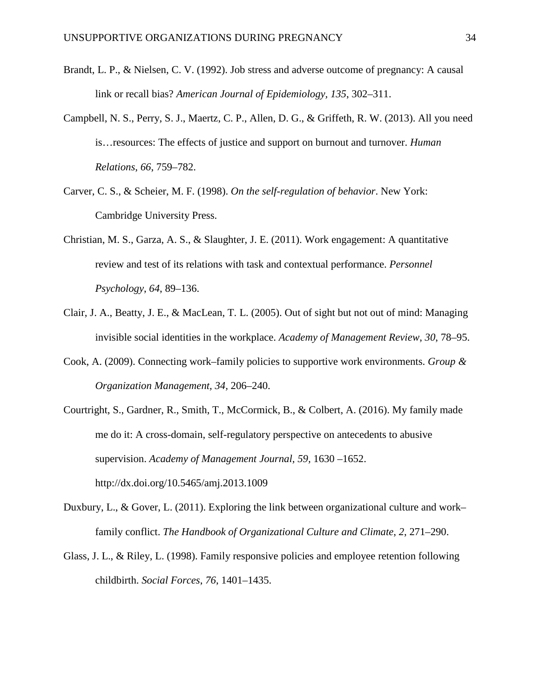- Brandt, L. P., & Nielsen, C. V. (1992). Job stress and adverse outcome of pregnancy: A causal link or recall bias? *American Journal of Epidemiology, 135*, 302–311.
- Campbell, N. S., Perry, S. J., Maertz, C. P., Allen, D. G., & Griffeth, R. W. (2013). All you need is…resources: The effects of justice and support on burnout and turnover. *Human Relations*, *66*, 759–782.
- Carver, C. S., & Scheier, M. F. (1998). *On the self-regulation of behavior*. New York: Cambridge University Press.
- Christian, M. S., Garza, A. S., & Slaughter, J. E. (2011). Work engagement: A quantitative review and test of its relations with task and contextual performance. *Personnel Psychology*, *64*, 89–136.
- Clair, J. A., Beatty, J. E., & MacLean, T. L. (2005). Out of sight but not out of mind: Managing invisible social identities in the workplace. *Academy of Management Review*, *30*, 78–95.
- Cook, A. (2009). Connecting work–family policies to supportive work environments. *Group & Organization Management, 34,* 206–240.
- Courtright, S., Gardner, R., Smith, T., McCormick, B., & Colbert, A. (2016). My family made me do it: A cross-domain, self-regulatory perspective on antecedents to abusive supervision. *Academy of Management Journal, 59,* 1630 –1652. http://dx.doi.org/10.5465/amj.2013.1009
- Duxbury, L., & Gover, L. (2011). Exploring the link between organizational culture and work– family conflict. *The Handbook of Organizational Culture and Climate*, *2*, 271–290.
- Glass, J. L., & Riley, L. (1998). Family responsive policies and employee retention following childbirth. *Social Forces*, *76*, 1401–1435.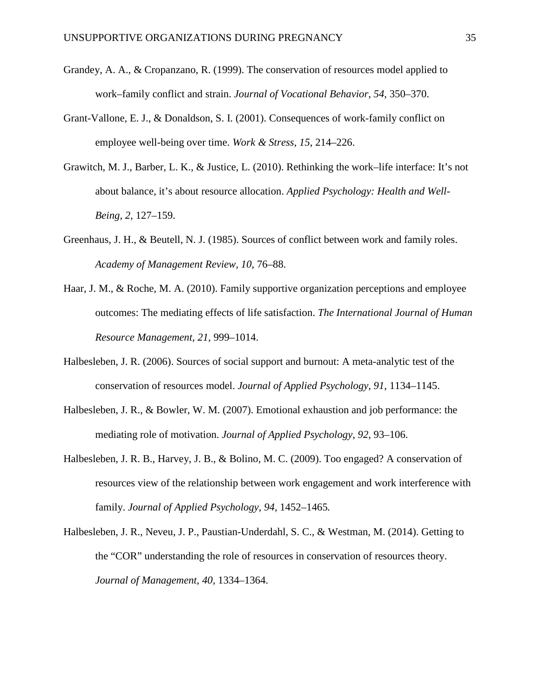- Grandey, A. A., & Cropanzano, R. (1999). The conservation of resources model applied to work–family conflict and strain. *Journal of Vocational Behavior*, *54*, 350–370.
- Grant-Vallone, E. J., & Donaldson, S. I. (2001). Consequences of work-family conflict on employee well-being over time. *Work & Stress, 15*, 214–226.
- Grawitch, M. J., Barber, L. K., & Justice, L. (2010). Rethinking the work–life interface: It's not about balance, it's about resource allocation. *Applied Psychology: Health and Well-Being, 2,* 127–159.
- Greenhaus, J. H., & Beutell, N. J. (1985). Sources of conflict between work and family roles. *Academy of Management Review, 10*, 76–88.
- Haar, J. M., & Roche, M. A. (2010). Family supportive organization perceptions and employee outcomes: The mediating effects of life satisfaction. *The International Journal of Human Resource Management*, *21*, 999–1014.
- Halbesleben, J. R. (2006). Sources of social support and burnout: A meta-analytic test of the conservation of resources model. *Journal of Applied Psychology*, *91*, 1134–1145.
- Halbesleben, J. R., & Bowler, W. M. (2007). Emotional exhaustion and job performance: the mediating role of motivation. *Journal of Applied Psychology*, *92*, 93–106.
- Halbesleben, J. R. B., Harvey, J. B., & Bolino, M. C. (2009). Too engaged? A conservation of resources view of the relationship between work engagement and work interference with family. *Journal of Applied Psychology, 94,* 1452–1465*.*
- Halbesleben, J. R., Neveu, J. P., Paustian-Underdahl, S. C., & Westman, M. (2014). Getting to the "COR" understanding the role of resources in conservation of resources theory. *Journal of Management, 40,* 1334–1364.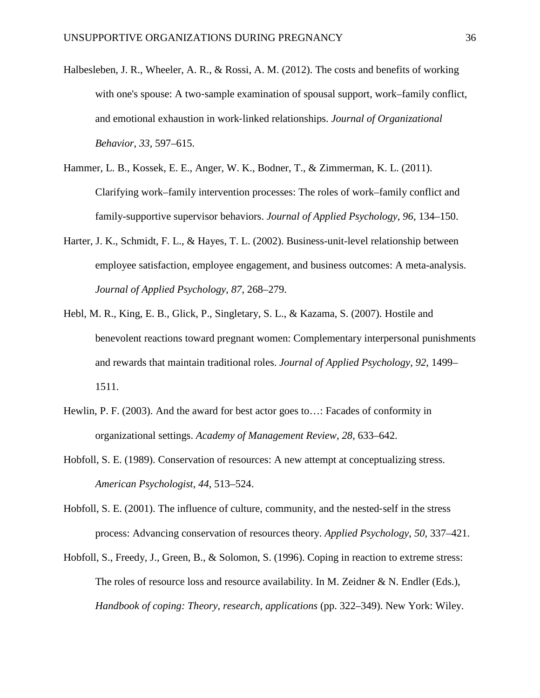- Halbesleben, J. R., Wheeler, A. R., & Rossi, A. M. (2012). The costs and benefits of working with one's spouse: A two-sample examination of spousal support, work–family conflict, and emotional exhaustion in work‐linked relationships. *Journal of Organizational Behavior*, *33*, 597–615.
- Hammer, L. B., Kossek, E. E., Anger, W. K., Bodner, T., & Zimmerman, K. L. (2011). Clarifying work–family intervention processes: The roles of work–family conflict and family-supportive supervisor behaviors. *Journal of Applied Psychology*, *96*, 134–150.
- Harter, J. K., Schmidt, F. L., & Hayes, T. L. (2002). Business-unit-level relationship between employee satisfaction, employee engagement, and business outcomes: A meta-analysis. *Journal of Applied Psychology*, *87*, 268–279.
- Hebl, M. R., King, E. B., Glick, P., Singletary, S. L., & Kazama, S. (2007). Hostile and benevolent reactions toward pregnant women: Complementary interpersonal punishments and rewards that maintain traditional roles. *Journal of Applied Psychology*, *92*, 1499– 1511.
- Hewlin, P. F. (2003). And the award for best actor goes to…: Facades of conformity in organizational settings. *Academy of Management Review*, *28*, 633–642.
- Hobfoll, S. E. (1989). Conservation of resources: A new attempt at conceptualizing stress. *American Psychologist*, *44*, 513–524.
- Hobfoll, S. E. (2001). The influence of culture, community, and the nested-self in the stress process: Advancing conservation of resources theory. *Applied Psychology*, *50*, 337–421.
- Hobfoll, S., Freedy, J., Green, B., & Solomon, S. (1996). Coping in reaction to extreme stress: The roles of resource loss and resource availability. In M. Zeidner & N. Endler (Eds.), *Handbook of coping: Theory, research, applications* (pp. 322–349). New York: Wiley.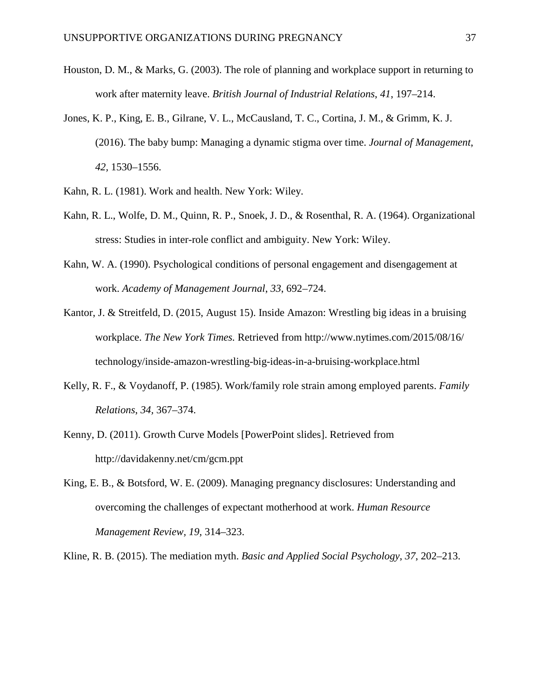- Houston, D. M., & Marks, G. (2003). The role of planning and workplace support in returning to work after maternity leave. *British Journal of Industrial Relations*, *41*, 197–214.
- Jones, K. P., King, E. B., Gilrane, V. L., McCausland, T. C., Cortina, J. M., & Grimm, K. J. (2016). The baby bump: Managing a dynamic stigma over time. *Journal of Management*, *42,* 1530–1556.
- Kahn, R. L. (1981). Work and health. New York: Wiley.
- Kahn, R. L., Wolfe, D. M., Quinn, R. P., Snoek, J. D., & Rosenthal, R. A. (1964). Organizational stress: Studies in inter-role conflict and ambiguity. New York: Wiley.
- Kahn, W. A. (1990). Psychological conditions of personal engagement and disengagement at work. *Academy of Management Journal*, *33*, 692–724.
- Kantor, J. & Streitfeld, D. (2015, August 15). Inside Amazon: Wrestling big ideas in a bruising workplace. *The New York Times.* Retrieved from http://www.nytimes.com/2015/08/16/ technology/inside-amazon-wrestling-big-ideas-in-a-bruising-workplace.html
- Kelly, R. F., & Voydanoff, P. (1985). Work/family role strain among employed parents. *Family Relations*, *34,* 367–374.
- Kenny, D. (2011). Growth Curve Models [PowerPoint slides]. Retrieved from http://davidakenny.net/cm/gcm.ppt
- King, E. B., & Botsford, W. E. (2009). Managing pregnancy disclosures: Understanding and overcoming the challenges of expectant motherhood at work. *Human Resource Management Review, 19,* 314–323.

Kline, R. B. (2015). The mediation myth. *Basic and Applied Social Psychology*, *37*, 202–213.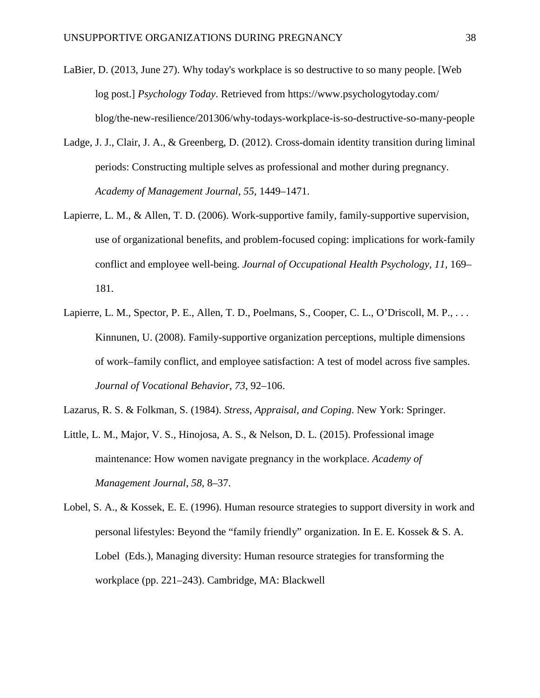- LaBier, D. (2013, June 27). Why today's workplace is so destructive to so many people. [Web log post.] *Psychology Today*. Retrieved from https://www.psychologytoday.com/ blog/the-new-resilience/201306/why-todays-workplace-is-so-destructive-so-many-people
- Ladge, J. J., Clair, J. A., & Greenberg, D. (2012). Cross-domain identity transition during liminal periods: Constructing multiple selves as professional and mother during pregnancy. *Academy of Management Journal*, *55*, 1449–1471.
- Lapierre, L. M., & Allen, T. D. (2006). Work-supportive family, family-supportive supervision, use of organizational benefits, and problem-focused coping: implications for work-family conflict and employee well-being. *Journal of Occupational Health Psychology, 11,* 169– 181.
- Lapierre, L. M., Spector, P. E., Allen, T. D., Poelmans, S., Cooper, C. L., O'Driscoll, M. P., ... Kinnunen, U. (2008). Family-supportive organization perceptions, multiple dimensions of work–family conflict, and employee satisfaction: A test of model across five samples. *Journal of Vocational Behavior*, *73*, 92–106.
- Lazarus, R. S. & Folkman, S. (1984). *Stress, Appraisal, and Coping*. New York: Springer.
- Little, L. M., Major, V. S., Hinojosa, A. S., & Nelson, D. L. (2015). Professional image maintenance: How women navigate pregnancy in the workplace. *Academy of Management Journal*, *58*, 8–37.
- Lobel, S. A., & Kossek, E. E. (1996). Human resource strategies to support diversity in work and personal lifestyles: Beyond the "family friendly" organization. In E. E. Kossek & S. A. Lobel (Eds.), Managing diversity: Human resource strategies for transforming the workplace (pp. 221–243). Cambridge, MA: Blackwell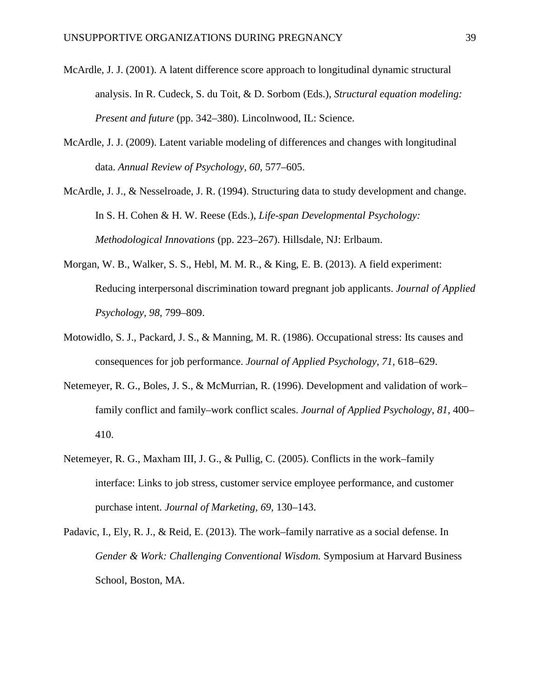- McArdle, J. J. (2001). A latent difference score approach to longitudinal dynamic structural analysis. In R. Cudeck, S. du Toit, & D. Sorbom (Eds.), *Structural equation modeling: Present and future* (pp. 342–380). Lincolnwood, IL: Science.
- McArdle, J. J. (2009). Latent variable modeling of differences and changes with longitudinal data. *Annual Review of Psychology, 60,* 577–605.
- McArdle, J. J., & Nesselroade, J. R. (1994). Structuring data to study development and change. In S. H. Cohen & H. W. Reese (Eds.), *Life-span Developmental Psychology: Methodological Innovations* (pp. 223–267). Hillsdale, NJ: Erlbaum.
- Morgan, W. B., Walker, S. S., Hebl, M. M. R., & King, E. B. (2013). A field experiment: Reducing interpersonal discrimination toward pregnant job applicants. *Journal of Applied Psychology, 98,* 799–809.
- Motowidlo, S. J., Packard, J. S., & Manning, M. R. (1986). Occupational stress: Its causes and consequences for job performance. *Journal of Applied Psychology, 71,* 618–629.
- Netemeyer, R. G., Boles, J. S., & McMurrian, R. (1996). Development and validation of work– family conflict and family–work conflict scales. *Journal of Applied Psychology*, *81,* 400– 410.
- Netemeyer, R. G., Maxham III, J. G., & Pullig, C. (2005). Conflicts in the work–family interface: Links to job stress, customer service employee performance, and customer purchase intent. *Journal of Marketing, 69,* 130–143.
- Padavic, I., Ely, R. J., & Reid, E. (2013). The work–family narrative as a social defense. In *Gender & Work: Challenging Conventional Wisdom.* Symposium at Harvard Business School, Boston, MA.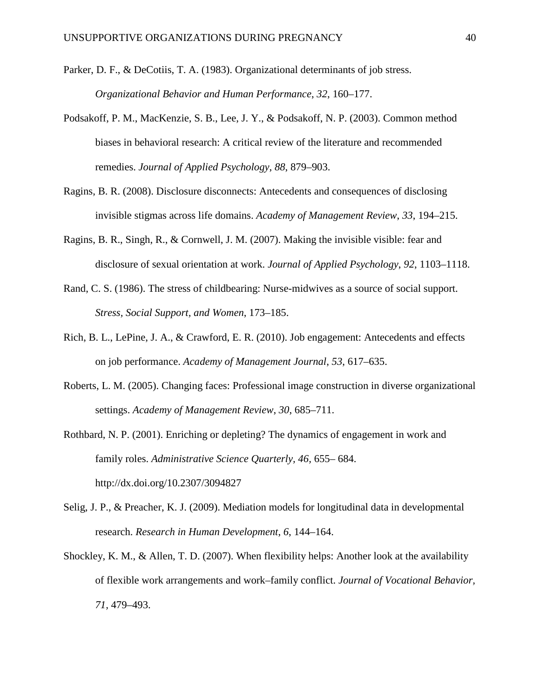- Parker, D. F., & DeCotiis, T. A. (1983). Organizational determinants of job stress. *Organizational Behavior and Human Performance*, *32*, 160–177.
- Podsakoff, P. M., MacKenzie, S. B., Lee, J. Y., & Podsakoff, N. P. (2003). Common method biases in behavioral research: A critical review of the literature and recommended remedies. *Journal of Applied Psychology*, *88*, 879–903.
- Ragins, B. R. (2008). Disclosure disconnects: Antecedents and consequences of disclosing invisible stigmas across life domains. *Academy of Management Review*, *33*, 194–215.
- Ragins, B. R., Singh, R., & Cornwell, J. M. (2007). Making the invisible visible: fear and disclosure of sexual orientation at work. *Journal of Applied Psychology*, *92*, 1103–1118.
- Rand, C. S. (1986). The stress of childbearing: Nurse-midwives as a source of social support. *Stress, Social Support, and Women*, 173–185.
- Rich, B. L., LePine, J. A., & Crawford, E. R. (2010). Job engagement: Antecedents and effects on job performance. *Academy of Management Journal*, *53*, 617–635.
- Roberts, L. M. (2005). Changing faces: Professional image construction in diverse organizational settings. *Academy of Management Review*, *30*, 685–711.
- Rothbard, N. P. (2001). Enriching or depleting? The dynamics of engagement in work and family roles. *Administrative Science Quarterly, 46,* 655– 684. http://dx.doi.org/10.2307/3094827
- Selig, J. P., & Preacher, K. J. (2009). Mediation models for longitudinal data in developmental research. *Research in Human Development*, *6*, 144–164.
- Shockley, K. M., & Allen, T. D. (2007). When flexibility helps: Another look at the availability of flexible work arrangements and work–family conflict. *Journal of Vocational Behavior, 71,* 479–493.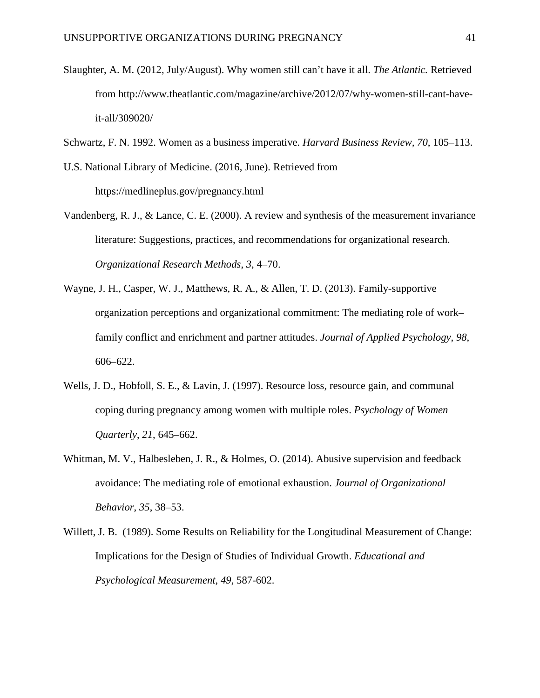- Slaughter, A. M. (2012, July/August). Why women still can't have it all. *The Atlantic.* Retrieved from http://www.theatlantic.com/magazine/archive/2012/07/why-women-still-cant-haveit-all/309020/
- Schwartz, F. N. 1992. Women as a business imperative. *Harvard Business Review, 70*, 105–113.

U.S. National Library of Medicine. (2016, June). Retrieved from https://medlineplus.gov/pregnancy.html

- Vandenberg, R. J., & Lance, C. E. (2000). A review and synthesis of the measurement invariance literature: Suggestions, practices, and recommendations for organizational research. *Organizational Research Methods*, *3*, 4–70.
- Wayne, J. H., Casper, W. J., Matthews, R. A., & Allen, T. D. (2013). Family-supportive organization perceptions and organizational commitment: The mediating role of work– family conflict and enrichment and partner attitudes. *Journal of Applied Psychology*, *98*, 606–622.
- Wells, J. D., Hobfoll, S. E., & Lavin, J. (1997). Resource loss, resource gain, and communal coping during pregnancy among women with multiple roles. *Psychology of Women Quarterly*, *21*, 645–662.
- Whitman, M. V., Halbesleben, J. R., & Holmes, O. (2014). Abusive supervision and feedback avoidance: The mediating role of emotional exhaustion. *Journal of Organizational Behavior*, *35*, 38–53.
- Willett, J. B. (1989). Some Results on Reliability for the Longitudinal Measurement of Change: Implications for the Design of Studies of Individual Growth. *Educational and Psychological Measurement*, *49*, 587-602.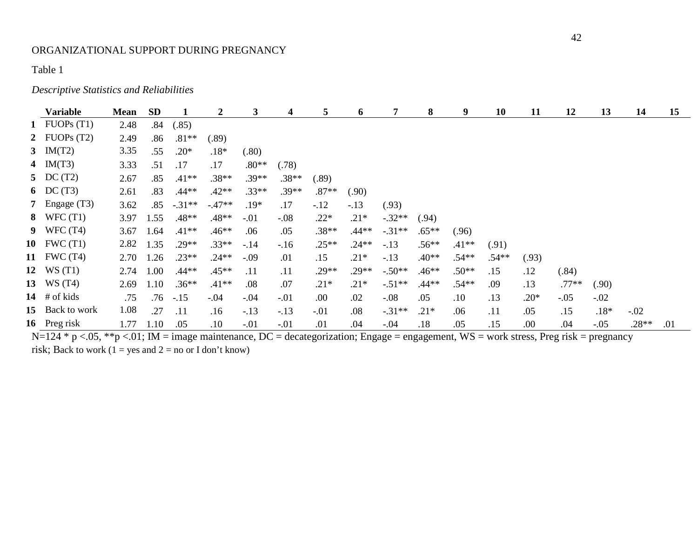# *Descriptive Statistics and Reliabilities*

|    | <b>Variable</b> | <b>Mean</b> | <b>SD</b> | 1        | $\mathbf{2}$ | $\mathbf{3}$ | 4       | 5       | 6       | 7        | 8       | 9       | 10      | 11     | 12      | 13     | 14      | 15  |
|----|-----------------|-------------|-----------|----------|--------------|--------------|---------|---------|---------|----------|---------|---------|---------|--------|---------|--------|---------|-----|
|    | 1 FUOPs $(T1)$  | 2.48        | .84       | (.85)    |              |              |         |         |         |          |         |         |         |        |         |        |         |     |
|    | 2 FUOPs $(T2)$  | 2.49        | .86       | $.81**$  | (.89)        |              |         |         |         |          |         |         |         |        |         |        |         |     |
|    | 3 $IM(T2)$      | 3.35        | .55       | $.20*$   | $.18*$       | (.80)        |         |         |         |          |         |         |         |        |         |        |         |     |
|    | 4 $IM(T3)$      | 3.33        | .51       | .17      | .17          | $.80**$      | (.78)   |         |         |          |         |         |         |        |         |        |         |     |
|    | 5 DC $(T2)$     | 2.67        | .85       | $.41**$  | $.38**$      | .39**        | $.38**$ | (.89)   |         |          |         |         |         |        |         |        |         |     |
|    | 6 DC $(T3)$     | 2.61        | .83       | $.44**$  | $.42**$      | $.33**$      | $.39**$ | $.87**$ | (.90)   |          |         |         |         |        |         |        |         |     |
|    | 7 Engage $(T3)$ | 3.62        | .85       | $-.31**$ | $-.47**$     | $.19*$       | .17     | $-.12$  | $-.13$  | (.93)    |         |         |         |        |         |        |         |     |
|    | 8 WFC $(T1)$    | 3.97        | 1.55      | $.48**$  | $.48**$      | $-.01$       | $-.08$  | $.22*$  | $.21*$  | $-.32**$ | (.94)   |         |         |        |         |        |         |     |
|    | 9 WFC $(T4)$    | 3.67        | 1.64      | $.41**$  | $.46**$      | .06          | .05     | $.38**$ | .44**   | $-31**$  | $.65**$ | (.96)   |         |        |         |        |         |     |
|    | 10 FWC $(T1)$   | 2.82        | 1.35      | $.29**$  | $.33**$      | $-.14$       | $-.16$  | $.25**$ | $.24**$ | $-.13$   | $.56**$ | $.41**$ | (.91)   |        |         |        |         |     |
|    | 11 FWC (T4)     | 2.70        | 1.26      | $.23**$  | $.24**$      | $-.09$       | .01     | .15     | $.21*$  | $-.13$   | $.40**$ | .54**   | $.54**$ | (.93)  |         |        |         |     |
|    | 12 $WS(T1)$     | 2.74        | 1.00      | $.44**$  | $.45**$      | .11          | .11     | $.29**$ | $.29**$ | $-.50**$ | $.46**$ | $.50**$ | .15     | .12    | (.84)   |        |         |     |
|    | 13 WS (T4)      | 2.69        | 1.10      | $.36**$  | $.41**$      | .08          | .07     | $.21*$  | $.21*$  | $-.51**$ | $.44**$ | $.54**$ | .09     | .13    | $.77**$ | (.90)  |         |     |
|    | 14 $\#$ of kids | .75         | .76       | $-.15$   | $-.04$       | $-.04$       | $-.01$  | .00     | .02     | $-.08$   | .05     | .10     | .13     | $.20*$ | $-.05$  | $-.02$ |         |     |
| 15 | Back to work    | 1.08        | .27       | .11      | .16          | $-.13$       | $-.13$  | $-.01$  | .08     | $-31**$  | $.21*$  | .06     | .11     | .05    | .15     | $.18*$ | $-.02$  |     |
|    | 16 Preg risk    | 1.77        | 1.10      | .05      | .10          | $-.01$       | $-.01$  | .01     | .04     | $-.04$   | .18     | .05     | .15     | .00    | .04     | $-.05$ | $.28**$ | .01 |

N=124 \* p <.05, \*\*p <.01; IM = image maintenance, DC = decategorization; Engage = engagement, WS = work stress, Preg risk = pregnancy risk; Back to work ( $1 = yes$  and  $2 = no$  or I don't know)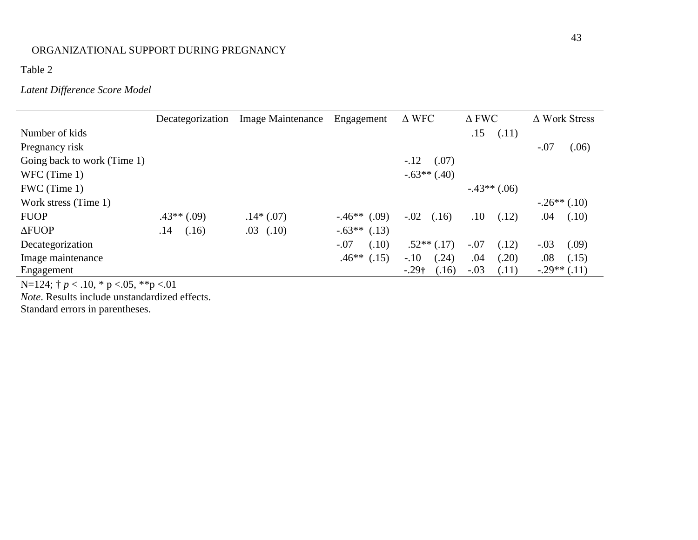Table 2

# *Latent Difference Score Model*

|                             | Decategorization | <b>Image Maintenance</b> | Engagement      | $\Delta$ WFC     | $\Delta$ FWC    | $\Delta$ Work Stress |
|-----------------------------|------------------|--------------------------|-----------------|------------------|-----------------|----------------------|
| Number of kids              |                  |                          |                 |                  | .15<br>(.11)    |                      |
| Pregnancy risk              |                  |                          |                 |                  |                 | $-.07$<br>(.06)      |
| Going back to work (Time 1) |                  |                          |                 | $-.12$<br>(.07)  |                 |                      |
| WFC (Time 1)                |                  |                          |                 | $-.63**(.40)$    |                 |                      |
| FWC (Time 1)                |                  |                          |                 |                  | $-.43**(.06)$   |                      |
| Work stress (Time 1)        |                  |                          |                 |                  |                 | $-.26**(.10)$        |
| <b>FUOP</b>                 | $.43**$ (.09)    | $.14*(.07)$              | $-.46**$ (.09)  | $-.02$<br>(.16)  | (.12)<br>.10    | (.10)<br>.04         |
| $\Delta$ FUOP               | (.16)<br>.14     | (.10)<br>.03             | $-.63**(.13)$   |                  |                 |                      |
| Decategorization            |                  |                          | $-.07$<br>(.10) | $.52**$ $(.17)$  | $-.07$<br>(.12) | $-.03$<br>(.09)      |
| Image maintenance           |                  |                          | $.46**$ (.15)   | $-.10$<br>(.24)  | (.20)<br>.04    | .08<br>(.15)         |
| Engagement                  |                  |                          |                 | $-.29†$<br>(.16) | $-.03$<br>(.11) | $-.29**(.11)$        |

N=124; † *p* < .10, \* p <.05, \*\*p <.01

*Note*. Results include unstandardized effects.

Standard errors in parentheses.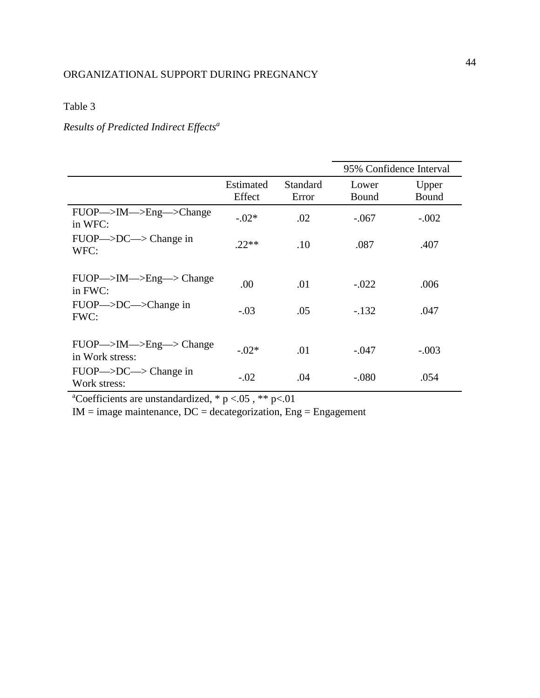# Table 3

# *Results of Predicted Indirect Effects<sup>a</sup>*

|                                                                             |                     |                   | 95% Confidence Interval |                |  |  |
|-----------------------------------------------------------------------------|---------------------|-------------------|-------------------------|----------------|--|--|
|                                                                             | Estimated<br>Effect | Standard<br>Error | Lower<br>Bound          | Upper<br>Bound |  |  |
| $FUOP \rightarrow IM \rightarrow Eng \rightarrow Change$<br>in WFC:         | $-.02*$             | .02               | $-.067$                 | $-.002$        |  |  |
| $FUOP \rightarrow DC \rightarrow Change$ in<br>WFC:                         | $.22**$             | .10               | .087                    | .407           |  |  |
| $FUOP \rightarrow IM \rightarrow Eng \rightarrow Change$<br>in FWC:         | .00                 | .01               | $-.022$                 | .006           |  |  |
| $FUOP \rightarrow DC \rightarrow Change$ in<br>FWC:                         | $-.03$              | .05               | $-.132$                 | .047           |  |  |
| $FUOP \rightarrow IM \rightarrow Eng \rightarrow Change$<br>in Work stress: | $-.02*$             | .01               | $-.047$                 | $-.003$        |  |  |
| $FUOP \rightarrow DC \rightarrow Change$ in<br>Work stress:                 | $-.02$              | .04               | $-.080$                 | .054           |  |  |

<sup>a</sup>Coefficients are unstandardized,  $* p < .05$ ,  $** p < .01$ 

 $IM = image$  maintenance,  $DC = decayorization$ ,  $Eng = Engagement$